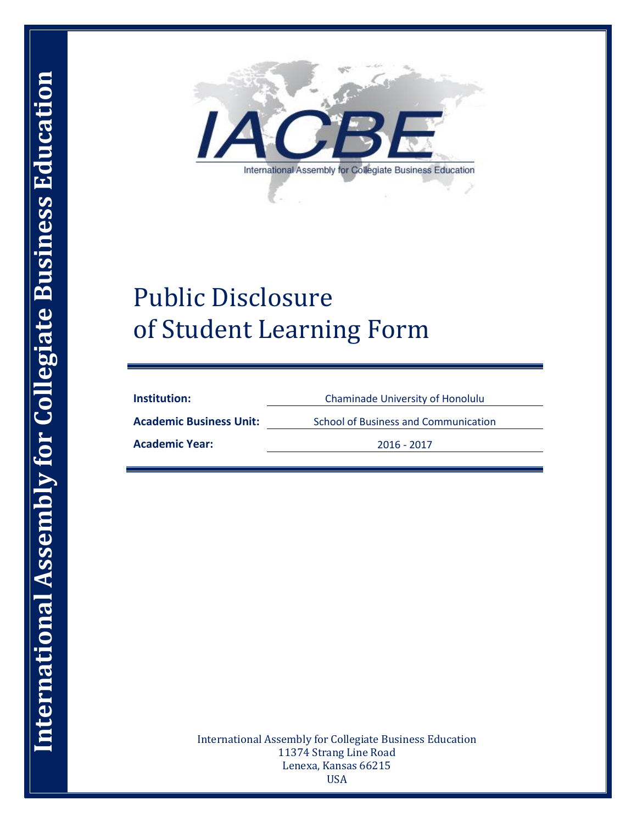

# Public Disclosure of Student Learning Form

**Institution:** Chaminade University of Honolulu

Academic Business Unit: School of Business and Communication

**Academic Year:** 2016 - 2017

International Assembly for Collegiate Business Education 11374 Strang Line Road Lenexa, Kansas 66215 USA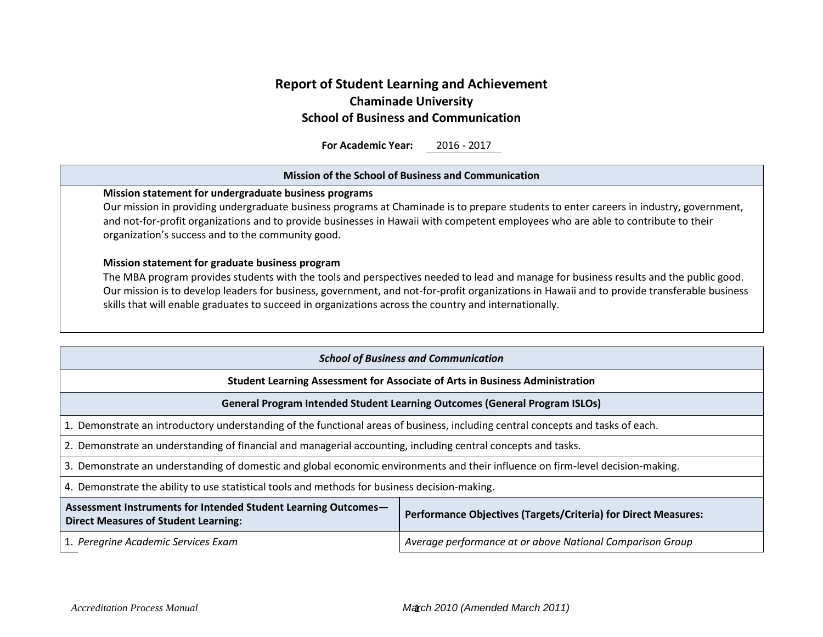# **Report of Student Learning and Achievement Chaminade University School of Business and Communication**

**For Academic Year:** 2016 - 2017

| <b>Mission of the School of Business and Communication</b>                                                                                                                                                                                                                                                                                                                                                                                       |                                                                                   |  |  |  |
|--------------------------------------------------------------------------------------------------------------------------------------------------------------------------------------------------------------------------------------------------------------------------------------------------------------------------------------------------------------------------------------------------------------------------------------------------|-----------------------------------------------------------------------------------|--|--|--|
| Mission statement for undergraduate business programs<br>Our mission in providing undergraduate business programs at Chaminade is to prepare students to enter careers in industry, government,<br>and not-for-profit organizations and to provide businesses in Hawaii with competent employees who are able to contribute to their<br>organization's success and to the community good.                                                        |                                                                                   |  |  |  |
| Mission statement for graduate business program<br>The MBA program provides students with the tools and perspectives needed to lead and manage for business results and the public good.<br>Our mission is to develop leaders for business, government, and not-for-profit organizations in Hawaii and to provide transferable business<br>skills that will enable graduates to succeed in organizations across the country and internationally. |                                                                                   |  |  |  |
|                                                                                                                                                                                                                                                                                                                                                                                                                                                  | <b>School of Business and Communication</b>                                       |  |  |  |
|                                                                                                                                                                                                                                                                                                                                                                                                                                                  |                                                                                   |  |  |  |
|                                                                                                                                                                                                                                                                                                                                                                                                                                                  | Student Learning Assessment for Associate of Arts in Business Administration      |  |  |  |
|                                                                                                                                                                                                                                                                                                                                                                                                                                                  | <b>General Program Intended Student Learning Outcomes (General Program ISLOs)</b> |  |  |  |
| 1. Demonstrate an introductory understanding of the functional areas of business, including central concepts and tasks of each.                                                                                                                                                                                                                                                                                                                  |                                                                                   |  |  |  |
| 2. Demonstrate an understanding of financial and managerial accounting, including central concepts and tasks.                                                                                                                                                                                                                                                                                                                                    |                                                                                   |  |  |  |
| 3. Demonstrate an understanding of domestic and global economic environments and their influence on firm-level decision-making.                                                                                                                                                                                                                                                                                                                  |                                                                                   |  |  |  |
| 4. Demonstrate the ability to use statistical tools and methods for business decision-making.                                                                                                                                                                                                                                                                                                                                                    |                                                                                   |  |  |  |
| Assessment Instruments for Intended Student Learning Outcomes-<br><b>Direct Measures of Student Learning:</b>                                                                                                                                                                                                                                                                                                                                    | <b>Performance Objectives (Targets/Criteria) for Direct Measures:</b>             |  |  |  |
| Average performance at or above National Comparison Group<br>1. Peregrine Academic Services Exam                                                                                                                                                                                                                                                                                                                                                 |                                                                                   |  |  |  |
|                                                                                                                                                                                                                                                                                                                                                                                                                                                  |                                                                                   |  |  |  |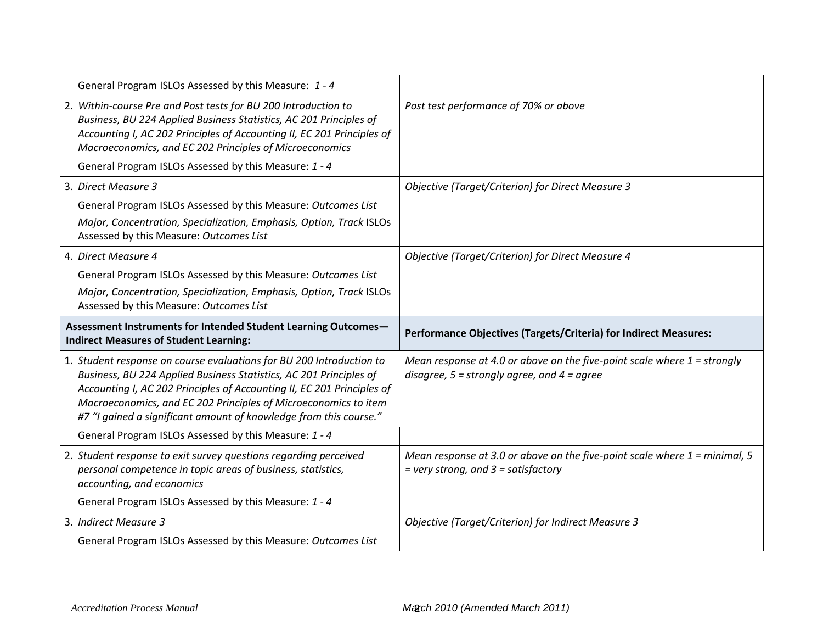| General Program ISLOs Assessed by this Measure: 1 - 4                                                                                                                                                                                                                                                                                                        |                                                                                                                               |
|--------------------------------------------------------------------------------------------------------------------------------------------------------------------------------------------------------------------------------------------------------------------------------------------------------------------------------------------------------------|-------------------------------------------------------------------------------------------------------------------------------|
| 2. Within-course Pre and Post tests for BU 200 Introduction to<br>Business, BU 224 Applied Business Statistics, AC 201 Principles of<br>Accounting I, AC 202 Principles of Accounting II, EC 201 Principles of<br>Macroeconomics, and EC 202 Principles of Microeconomics                                                                                    | Post test performance of 70% or above                                                                                         |
| General Program ISLOs Assessed by this Measure: 1 - 4                                                                                                                                                                                                                                                                                                        |                                                                                                                               |
| 3. Direct Measure 3                                                                                                                                                                                                                                                                                                                                          | <b>Objective (Target/Criterion) for Direct Measure 3</b>                                                                      |
| General Program ISLOs Assessed by this Measure: Outcomes List                                                                                                                                                                                                                                                                                                |                                                                                                                               |
| Major, Concentration, Specialization, Emphasis, Option, Track ISLOs<br>Assessed by this Measure: Outcomes List                                                                                                                                                                                                                                               |                                                                                                                               |
| 4. Direct Measure 4                                                                                                                                                                                                                                                                                                                                          | Objective (Target/Criterion) for Direct Measure 4                                                                             |
| General Program ISLOs Assessed by this Measure: Outcomes List                                                                                                                                                                                                                                                                                                |                                                                                                                               |
| Major, Concentration, Specialization, Emphasis, Option, Track ISLOs<br>Assessed by this Measure: Outcomes List                                                                                                                                                                                                                                               |                                                                                                                               |
|                                                                                                                                                                                                                                                                                                                                                              |                                                                                                                               |
| Assessment Instruments for Intended Student Learning Outcomes-<br><b>Indirect Measures of Student Learning:</b>                                                                                                                                                                                                                                              | Performance Objectives (Targets/Criteria) for Indirect Measures:                                                              |
| 1. Student response on course evaluations for BU 200 Introduction to<br>Business, BU 224 Applied Business Statistics, AC 201 Principles of<br>Accounting I, AC 202 Principles of Accounting II, EC 201 Principles of<br>Macroeconomics, and EC 202 Principles of Microeconomics to item<br>#7 "I gained a significant amount of knowledge from this course." | Mean response at 4.0 or above on the five-point scale where $1 =$ strongly<br>disagree, $5 =$ strongly agree, and $4 =$ agree |
| General Program ISLOs Assessed by this Measure: 1 - 4                                                                                                                                                                                                                                                                                                        |                                                                                                                               |
| 2. Student response to exit survey questions regarding perceived<br>personal competence in topic areas of business, statistics,<br>accounting, and economics                                                                                                                                                                                                 | Mean response at 3.0 or above on the five-point scale where $1 =$ minimal, 5<br>$=$ very strong, and $3 =$ satisfactory       |
| General Program ISLOs Assessed by this Measure: 1 - 4                                                                                                                                                                                                                                                                                                        |                                                                                                                               |
| 3. Indirect Measure 3                                                                                                                                                                                                                                                                                                                                        | Objective (Target/Criterion) for Indirect Measure 3                                                                           |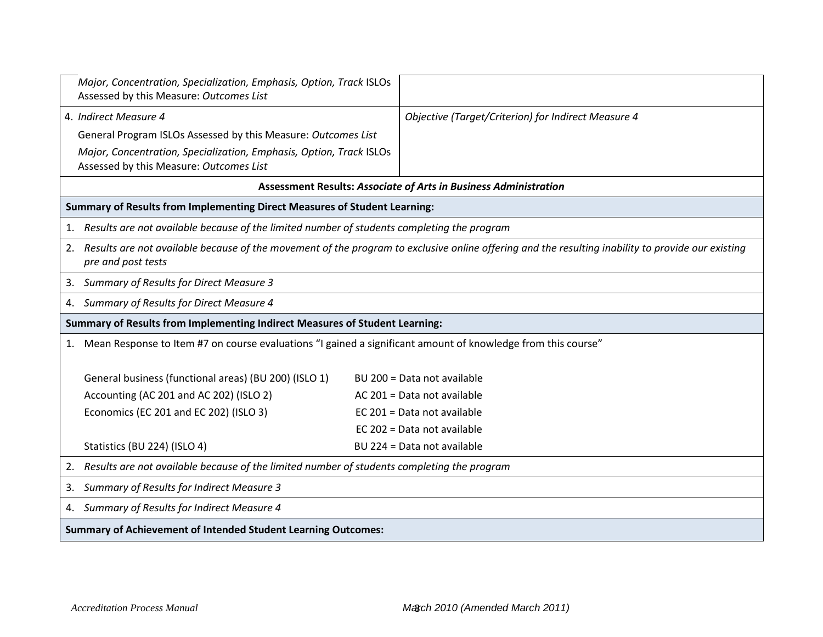| Major, Concentration, Specialization, Emphasis, Option, Track ISLOs<br>Assessed by this Measure: Outcomes List     |                                                                                                                                                   |
|--------------------------------------------------------------------------------------------------------------------|---------------------------------------------------------------------------------------------------------------------------------------------------|
| 4. Indirect Measure 4                                                                                              | Objective (Target/Criterion) for Indirect Measure 4                                                                                               |
| General Program ISLOs Assessed by this Measure: Outcomes List                                                      |                                                                                                                                                   |
| Major, Concentration, Specialization, Emphasis, Option, Track ISLOs<br>Assessed by this Measure: Outcomes List     |                                                                                                                                                   |
|                                                                                                                    | <b>Assessment Results: Associate of Arts in Business Administration</b>                                                                           |
| Summary of Results from Implementing Direct Measures of Student Learning:                                          |                                                                                                                                                   |
| Results are not available because of the limited number of students completing the program                         |                                                                                                                                                   |
| 2.<br>pre and post tests                                                                                           | Results are not available because of the movement of the program to exclusive online offering and the resulting inability to provide our existing |
| <b>Summary of Results for Direct Measure 3</b><br>3.                                                               |                                                                                                                                                   |
| Summary of Results for Direct Measure 4<br>4.                                                                      |                                                                                                                                                   |
| Summary of Results from Implementing Indirect Measures of Student Learning:                                        |                                                                                                                                                   |
| Mean Response to Item #7 on course evaluations "I gained a significant amount of knowledge from this course"<br>1. |                                                                                                                                                   |
| General business (functional areas) (BU 200) (ISLO 1)                                                              | BU 200 = Data not available                                                                                                                       |
| Accounting (AC 201 and AC 202) (ISLO 2)                                                                            | AC 201 = Data not available                                                                                                                       |
| Economics (EC 201 and EC 202) (ISLO 3)                                                                             | EC 201 = Data not available                                                                                                                       |
|                                                                                                                    | EC 202 = Data not available                                                                                                                       |
| Statistics (BU 224) (ISLO 4)                                                                                       | BU 224 = Data not available                                                                                                                       |
| Results are not available because of the limited number of students completing the program<br>2.                   |                                                                                                                                                   |
| Summary of Results for Indirect Measure 3                                                                          |                                                                                                                                                   |
| Summary of Results for Indirect Measure 4<br>4.                                                                    |                                                                                                                                                   |
| <b>Summary of Achievement of Intended Student Learning Outcomes:</b>                                               |                                                                                                                                                   |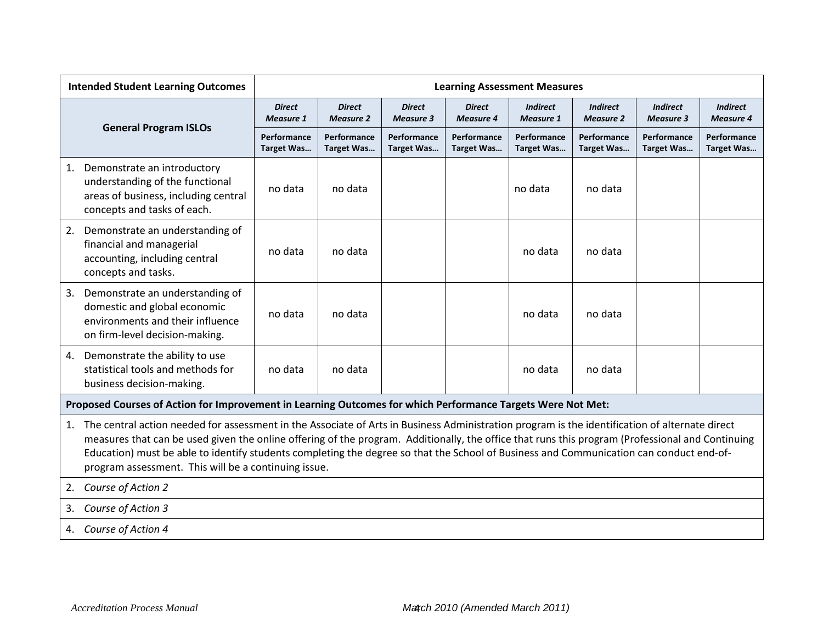|    | <b>Intended Student Learning Outcomes</b>                                                                                                                                                                                                                                                                                                                                                                                                                                                             | <b>Learning Assessment Measures</b> |                                   |                                   |                                   |                                     |                                     |                                     |                                     |
|----|-------------------------------------------------------------------------------------------------------------------------------------------------------------------------------------------------------------------------------------------------------------------------------------------------------------------------------------------------------------------------------------------------------------------------------------------------------------------------------------------------------|-------------------------------------|-----------------------------------|-----------------------------------|-----------------------------------|-------------------------------------|-------------------------------------|-------------------------------------|-------------------------------------|
|    |                                                                                                                                                                                                                                                                                                                                                                                                                                                                                                       | <b>Direct</b><br><b>Measure 1</b>   | <b>Direct</b><br><b>Measure 2</b> | <b>Direct</b><br><b>Measure 3</b> | <b>Direct</b><br><b>Measure 4</b> | <b>Indirect</b><br><b>Measure 1</b> | <b>Indirect</b><br><b>Measure 2</b> | <b>Indirect</b><br><b>Measure 3</b> | <b>Indirect</b><br><b>Measure 4</b> |
|    | <b>General Program ISLOs</b>                                                                                                                                                                                                                                                                                                                                                                                                                                                                          | Performance<br><b>Target Was</b>    | Performance<br><b>Target Was</b>  | Performance<br>Target Was         | Performance<br>Target Was         | Performance<br>Target Was           | Performance<br><b>Target Was</b>    | Performance<br><b>Target Was</b>    | Performance<br><b>Target Was</b>    |
| 1. | Demonstrate an introductory<br>understanding of the functional<br>areas of business, including central<br>concepts and tasks of each.                                                                                                                                                                                                                                                                                                                                                                 | no data                             | no data                           |                                   |                                   | no data                             | no data                             |                                     |                                     |
| 2. | Demonstrate an understanding of<br>financial and managerial<br>accounting, including central<br>concepts and tasks.                                                                                                                                                                                                                                                                                                                                                                                   | no data                             | no data                           |                                   |                                   | no data                             | no data                             |                                     |                                     |
| 3. | Demonstrate an understanding of<br>domestic and global economic<br>environments and their influence<br>on firm-level decision-making.                                                                                                                                                                                                                                                                                                                                                                 | no data                             | no data                           |                                   |                                   | no data                             | no data                             |                                     |                                     |
| 4. | Demonstrate the ability to use<br>statistical tools and methods for<br>business decision-making.                                                                                                                                                                                                                                                                                                                                                                                                      | no data                             | no data                           |                                   |                                   | no data                             | no data                             |                                     |                                     |
|    | Proposed Courses of Action for Improvement in Learning Outcomes for which Performance Targets Were Not Met:                                                                                                                                                                                                                                                                                                                                                                                           |                                     |                                   |                                   |                                   |                                     |                                     |                                     |                                     |
| 1. | The central action needed for assessment in the Associate of Arts in Business Administration program is the identification of alternate direct<br>measures that can be used given the online offering of the program. Additionally, the office that runs this program (Professional and Continuing<br>Education) must be able to identify students completing the degree so that the School of Business and Communication can conduct end-of-<br>program assessment. This will be a continuing issue. |                                     |                                   |                                   |                                   |                                     |                                     |                                     |                                     |
| 2. | Course of Action 2                                                                                                                                                                                                                                                                                                                                                                                                                                                                                    |                                     |                                   |                                   |                                   |                                     |                                     |                                     |                                     |
| 3. | Course of Action 3                                                                                                                                                                                                                                                                                                                                                                                                                                                                                    |                                     |                                   |                                   |                                   |                                     |                                     |                                     |                                     |
| 4. | Course of Action 4                                                                                                                                                                                                                                                                                                                                                                                                                                                                                    |                                     |                                   |                                   |                                   |                                     |                                     |                                     |                                     |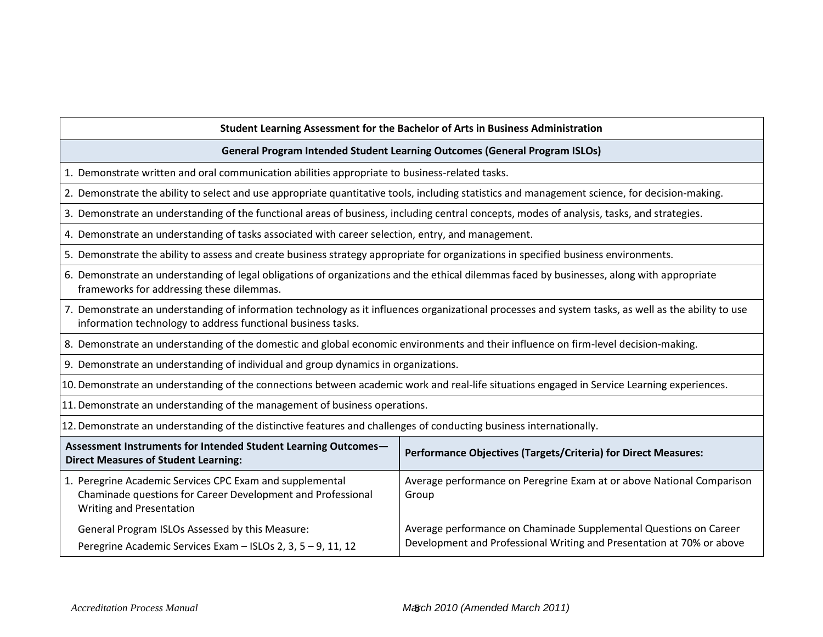#### **Student Learning Assessment for the Bachelor of Arts in Business Administration**

#### **General Program Intended Student Learning Outcomes (General Program ISLOs)**

- 1. Demonstrate written and oral communication abilities appropriate to business-related tasks.
- 2. Demonstrate the ability to select and use appropriate quantitative tools, including statistics and management science, for decision-making.
- 3. Demonstrate an understanding of the functional areas of business, including central concepts, modes of analysis, tasks, and strategies.
- 4. Demonstrate an understanding of tasks associated with career selection, entry, and management.
- 5. Demonstrate the ability to assess and create business strategy appropriate for organizations in specified business environments.
- 6. Demonstrate an understanding of legal obligations of organizations and the ethical dilemmas faced by businesses, along with appropriate frameworks for addressing these dilemmas.
- 7. Demonstrate an understanding of information technology as it influences organizational processes and system tasks, as well as the ability to use information technology to address functional business tasks.
- 8. Demonstrate an understanding of the domestic and global economic environments and their influence on firm-level decision-making.
- 9. Demonstrate an understanding of individual and group dynamics in organizations.
- 10.Demonstrate an understanding of the connections between academic work and real-life situations engaged in Service Learning experiences.
- 11.Demonstrate an understanding of the management of business operations.
- 12.Demonstrate an understanding of the distinctive features and challenges of conducting business internationally.

| Assessment Instruments for Intended Student Learning Outcomes-<br><b>Direct Measures of Student Learning:</b>                                       | <b>Performance Objectives (Targets/Criteria) for Direct Measures:</b>                                                                      |
|-----------------------------------------------------------------------------------------------------------------------------------------------------|--------------------------------------------------------------------------------------------------------------------------------------------|
| 1. Peregrine Academic Services CPC Exam and supplemental<br>Chaminade questions for Career Development and Professional<br>Writing and Presentation | Average performance on Peregrine Exam at or above National Comparison<br>Group                                                             |
| General Program ISLOs Assessed by this Measure:<br>Peregrine Academic Services Exam - ISLOs 2, 3, 5 - 9, 11, 12                                     | Average performance on Chaminade Supplemental Questions on Career<br>Development and Professional Writing and Presentation at 70% or above |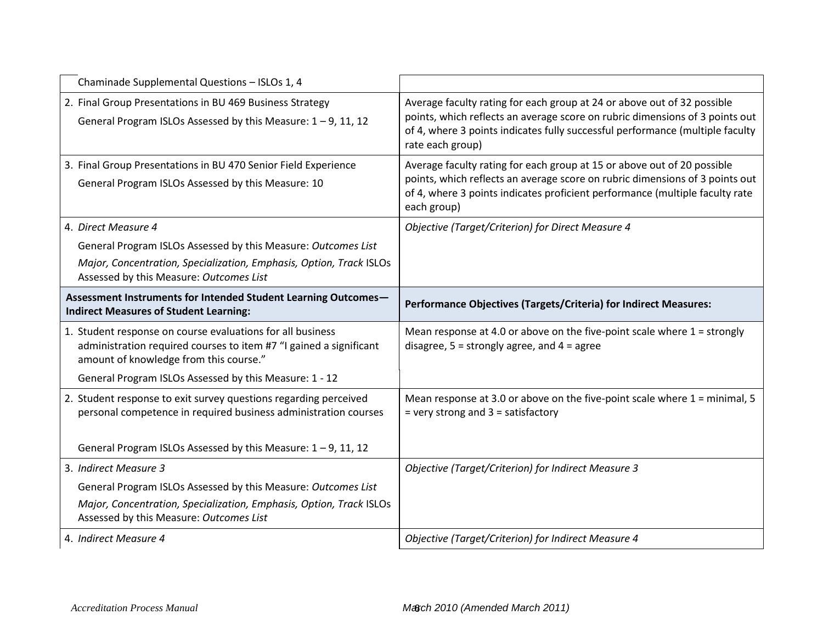| Chaminade Supplemental Questions - ISLOs 1, 4                                                                                                                              |                                                                                                                                                                                                                                                              |
|----------------------------------------------------------------------------------------------------------------------------------------------------------------------------|--------------------------------------------------------------------------------------------------------------------------------------------------------------------------------------------------------------------------------------------------------------|
| 2. Final Group Presentations in BU 469 Business Strategy<br>General Program ISLOs Assessed by this Measure: $1 - 9$ , 11, 12                                               | Average faculty rating for each group at 24 or above out of 32 possible<br>points, which reflects an average score on rubric dimensions of 3 points out<br>of 4, where 3 points indicates fully successful performance (multiple faculty<br>rate each group) |
| 3. Final Group Presentations in BU 470 Senior Field Experience<br>General Program ISLOs Assessed by this Measure: 10                                                       | Average faculty rating for each group at 15 or above out of 20 possible<br>points, which reflects an average score on rubric dimensions of 3 points out<br>of 4, where 3 points indicates proficient performance (multiple faculty rate<br>each group)       |
| 4. Direct Measure 4                                                                                                                                                        | <b>Objective (Target/Criterion) for Direct Measure 4</b>                                                                                                                                                                                                     |
| General Program ISLOs Assessed by this Measure: Outcomes List                                                                                                              |                                                                                                                                                                                                                                                              |
| Major, Concentration, Specialization, Emphasis, Option, Track ISLOs<br>Assessed by this Measure: Outcomes List                                                             |                                                                                                                                                                                                                                                              |
| Assessment Instruments for Intended Student Learning Outcomes-<br><b>Indirect Measures of Student Learning:</b>                                                            | Performance Objectives (Targets/Criteria) for Indirect Measures:                                                                                                                                                                                             |
|                                                                                                                                                                            |                                                                                                                                                                                                                                                              |
| 1. Student response on course evaluations for all business<br>administration required courses to item #7 "I gained a significant<br>amount of knowledge from this course." | Mean response at 4.0 or above on the five-point scale where $1 =$ strongly<br>disagree, $5 =$ strongly agree, and $4 =$ agree                                                                                                                                |
| General Program ISLOs Assessed by this Measure: 1 - 12                                                                                                                     |                                                                                                                                                                                                                                                              |
| 2. Student response to exit survey questions regarding perceived<br>personal competence in required business administration courses                                        | Mean response at 3.0 or above on the five-point scale where $1 =$ minimal, 5<br>$=$ very strong and $3 =$ satisfactory                                                                                                                                       |
| General Program ISLOs Assessed by this Measure: $1 - 9$ , 11, 12                                                                                                           |                                                                                                                                                                                                                                                              |
| 3. Indirect Measure 3                                                                                                                                                      | Objective (Target/Criterion) for Indirect Measure 3                                                                                                                                                                                                          |
| General Program ISLOs Assessed by this Measure: Outcomes List                                                                                                              |                                                                                                                                                                                                                                                              |
| Major, Concentration, Specialization, Emphasis, Option, Track ISLOs<br>Assessed by this Measure: Outcomes List                                                             |                                                                                                                                                                                                                                                              |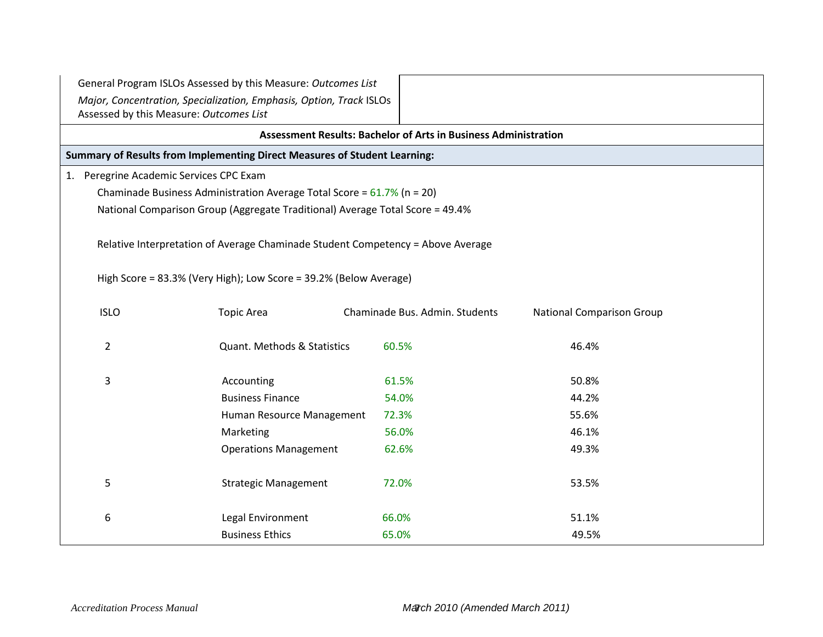|                                         | General Program ISLOs Assessed by this Measure: Outcomes List                   |                                                                        |                                  |  |
|-----------------------------------------|---------------------------------------------------------------------------------|------------------------------------------------------------------------|----------------------------------|--|
| Assessed by this Measure: Outcomes List | Major, Concentration, Specialization, Emphasis, Option, Track ISLOs             |                                                                        |                                  |  |
|                                         |                                                                                 | <b>Assessment Results: Bachelor of Arts in Business Administration</b> |                                  |  |
|                                         | Summary of Results from Implementing Direct Measures of Student Learning:       |                                                                        |                                  |  |
| 1. Peregrine Academic Services CPC Exam |                                                                                 |                                                                        |                                  |  |
|                                         | Chaminade Business Administration Average Total Score = $61.7\%$ (n = 20)       |                                                                        |                                  |  |
|                                         | National Comparison Group (Aggregate Traditional) Average Total Score = 49.4%   |                                                                        |                                  |  |
|                                         |                                                                                 |                                                                        |                                  |  |
|                                         | Relative Interpretation of Average Chaminade Student Competency = Above Average |                                                                        |                                  |  |
|                                         |                                                                                 |                                                                        |                                  |  |
|                                         | High Score = 83.3% (Very High); Low Score = 39.2% (Below Average)               |                                                                        |                                  |  |
| <b>ISLO</b>                             | <b>Topic Area</b>                                                               | Chaminade Bus. Admin. Students                                         | <b>National Comparison Group</b> |  |
|                                         |                                                                                 |                                                                        |                                  |  |
| $\overline{2}$                          | <b>Quant. Methods &amp; Statistics</b>                                          | 60.5%                                                                  | 46.4%                            |  |
|                                         |                                                                                 |                                                                        |                                  |  |
| 3                                       | Accounting                                                                      | 61.5%                                                                  | 50.8%                            |  |
|                                         | <b>Business Finance</b>                                                         | 54.0%                                                                  | 44.2%                            |  |
|                                         | Human Resource Management                                                       | 72.3%                                                                  | 55.6%                            |  |
|                                         | Marketing                                                                       | 56.0%                                                                  | 46.1%                            |  |
|                                         | <b>Operations Management</b>                                                    | 62.6%                                                                  | 49.3%                            |  |
|                                         |                                                                                 |                                                                        |                                  |  |
| 5                                       | <b>Strategic Management</b>                                                     | 72.0%                                                                  | 53.5%                            |  |
|                                         |                                                                                 |                                                                        |                                  |  |
| 6                                       | Legal Environment                                                               | 66.0%                                                                  | 51.1%                            |  |
|                                         | <b>Business Ethics</b>                                                          | 65.0%                                                                  | 49.5%                            |  |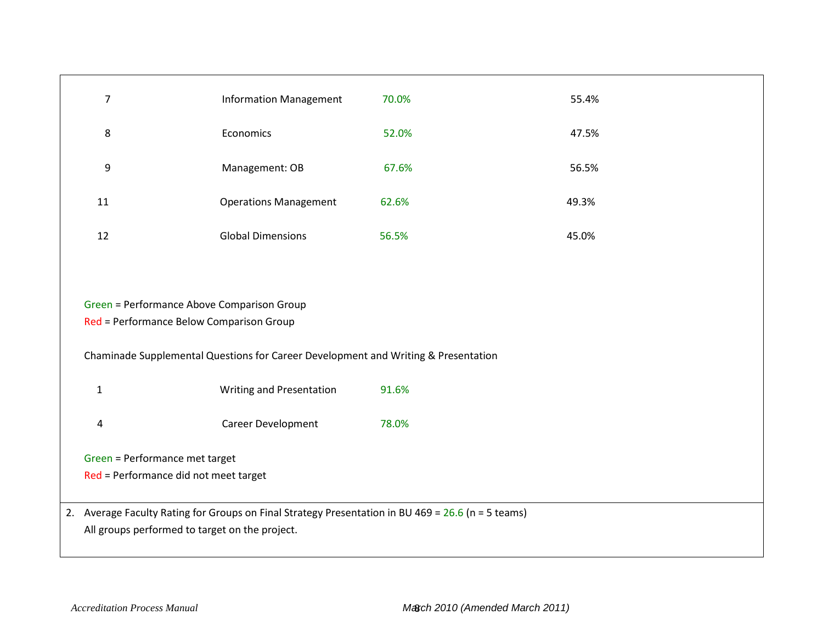|                                 | $\overline{7}$<br><b>Information Management</b>                                        |                                                                                                      | 70.0% | 55.4% |
|---------------------------------|----------------------------------------------------------------------------------------|------------------------------------------------------------------------------------------------------|-------|-------|
|                                 | 8                                                                                      | Economics                                                                                            | 52.0% | 47.5% |
|                                 | 9<br>Management: OB                                                                    |                                                                                                      | 67.6% | 56.5% |
|                                 | 11                                                                                     | <b>Operations Management</b>                                                                         | 62.6% | 49.3% |
|                                 | <b>Global Dimensions</b><br>12                                                         |                                                                                                      | 56.5% | 45.0% |
|                                 |                                                                                        |                                                                                                      |       |       |
|                                 | Green = Performance Above Comparison Group<br>Red = Performance Below Comparison Group |                                                                                                      |       |       |
|                                 |                                                                                        | Chaminade Supplemental Questions for Career Development and Writing & Presentation                   |       |       |
|                                 | $\mathbf{1}$                                                                           | Writing and Presentation                                                                             | 91.6% |       |
| Career Development<br>$\pmb{4}$ |                                                                                        |                                                                                                      | 78.0% |       |
|                                 | Green = Performance met target                                                         |                                                                                                      |       |       |
|                                 | Red = Performance did not meet target                                                  |                                                                                                      |       |       |
|                                 |                                                                                        |                                                                                                      |       |       |
|                                 |                                                                                        | 2. Average Faculty Rating for Groups on Final Strategy Presentation in BU 469 = $26.6$ (n = 5 teams) |       |       |
|                                 | All groups performed to target on the project.                                         |                                                                                                      |       |       |
|                                 |                                                                                        |                                                                                                      |       |       |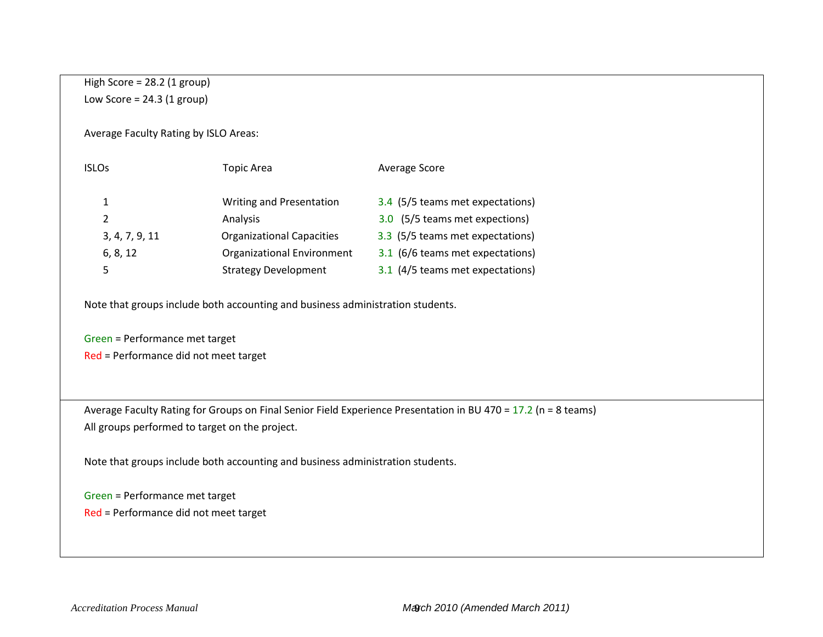## High Score = 28.2 (1 group) Low Score =  $24.3$  (1 group)

Average Faculty Rating by ISLO Areas:

| <b>ISLOs</b>   | Topic Area                        | Average Score                    |
|----------------|-----------------------------------|----------------------------------|
| 1              | <b>Writing and Presentation</b>   | 3.4 (5/5 teams met expectations) |
| $\mathcal{P}$  | Analysis                          | 3.0 (5/5 teams met expections)   |
| 3, 4, 7, 9, 11 | <b>Organizational Capacities</b>  | 3.3 (5/5 teams met expectations) |
| 6, 8, 12       | <b>Organizational Environment</b> | 3.1 (6/6 teams met expectations) |
|                | <b>Strategy Development</b>       | 3.1 (4/5 teams met expectations) |

Note that groups include both accounting and business administration students.

Green = Performance met target Red = Performance did not meet target

 Average Faculty Rating for Groups on Final Senior Field Experience Presentation in BU 470 = 17.2 (n = 8 teams) All groups performed to target on the project.

Note that groups include both accounting and business administration students.

Green = Performance met target

Red = Performance did not meet target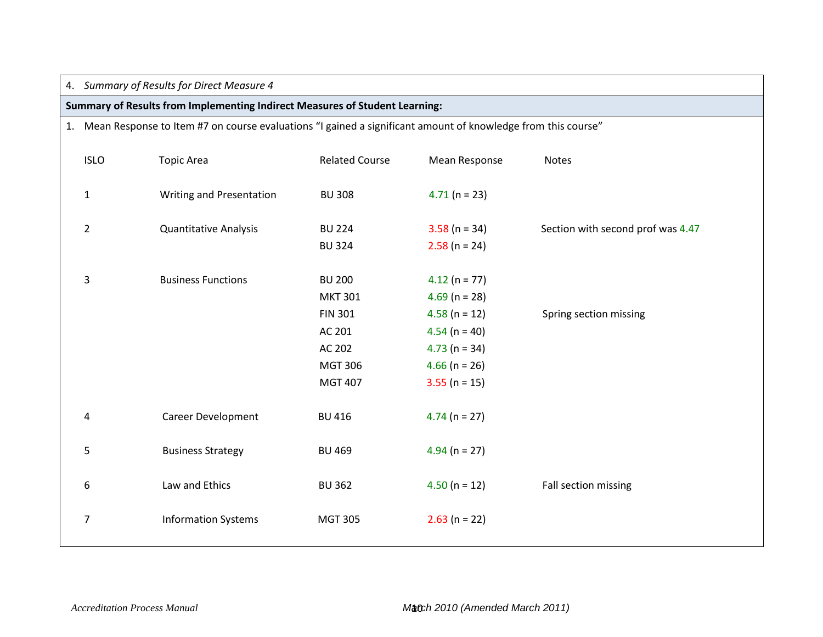## 4. *Summary of Results for Direct Measure 4*

## **Summary of Results from Implementing Indirect Measures of Student Learning:**

## 1. Mean Response to Item #7 on course evaluations "I gained a significant amount of knowledge from this course"

| <b>ISLO</b>    | <b>Topic Area</b>            | <b>Related Course</b>                                                                                     | Mean Response                                                                                                                    | Notes                             |
|----------------|------------------------------|-----------------------------------------------------------------------------------------------------------|----------------------------------------------------------------------------------------------------------------------------------|-----------------------------------|
| $\mathbf{1}$   | Writing and Presentation     | <b>BU 308</b>                                                                                             | $4.71(n = 23)$                                                                                                                   |                                   |
| $\overline{2}$ | <b>Quantitative Analysis</b> | <b>BU 224</b><br><b>BU 324</b>                                                                            | $3.58$ (n = 34)<br>$2.58$ (n = 24)                                                                                               | Section with second prof was 4.47 |
| 3              | <b>Business Functions</b>    | <b>BU 200</b><br><b>MKT 301</b><br><b>FIN 301</b><br>AC 201<br>AC 202<br><b>MGT 306</b><br><b>MGT 407</b> | $4.12(n = 77)$<br>$4.69$ (n = 28)<br>$4.58$ (n = 12)<br>$4.54$ (n = 40)<br>$4.73$ (n = 34)<br>$4.66$ (n = 26)<br>$3.55$ (n = 15) | Spring section missing            |
| 4              | Career Development           | <b>BU 416</b>                                                                                             | $4.74$ (n = 27)                                                                                                                  |                                   |
| 5              | <b>Business Strategy</b>     | <b>BU 469</b>                                                                                             | $4.94$ (n = 27)                                                                                                                  |                                   |
| 6              | Law and Ethics               | <b>BU 362</b>                                                                                             | $4.50(n = 12)$                                                                                                                   | Fall section missing              |
| 7              | <b>Information Systems</b>   | <b>MGT 305</b>                                                                                            | $2.63$ (n = 22)                                                                                                                  |                                   |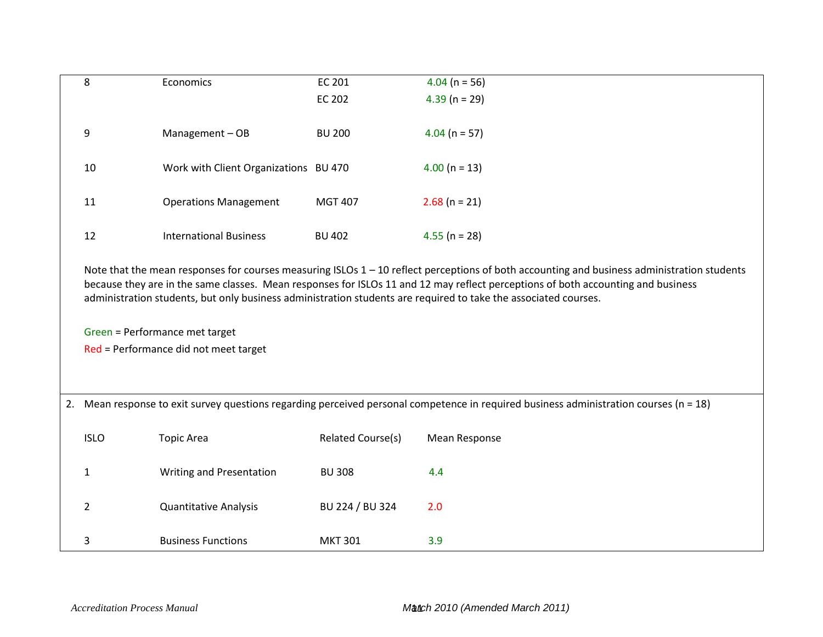| 8                                                                                                               | Economics                             | EC 201                   | $4.04$ (n = 56)                                                                                                                                                                                                                                                                   |
|-----------------------------------------------------------------------------------------------------------------|---------------------------------------|--------------------------|-----------------------------------------------------------------------------------------------------------------------------------------------------------------------------------------------------------------------------------------------------------------------------------|
|                                                                                                                 |                                       | <b>EC 202</b>            | $4.39$ (n = 29)                                                                                                                                                                                                                                                                   |
| 9                                                                                                               | Management-OB                         | <b>BU 200</b>            | $4.04$ (n = 57)                                                                                                                                                                                                                                                                   |
| 10                                                                                                              | Work with Client Organizations BU 470 |                          | $4.00$ (n = 13)                                                                                                                                                                                                                                                                   |
| 11                                                                                                              | <b>Operations Management</b>          | <b>MGT 407</b>           | $2.68$ (n = 21)                                                                                                                                                                                                                                                                   |
| 12                                                                                                              | <b>International Business</b>         | <b>BU 402</b>            | $4.55$ (n = 28)                                                                                                                                                                                                                                                                   |
| administration students, but only business administration students are required to take the associated courses. |                                       |                          | Note that the mean responses for courses measuring ISLOs $1 - 10$ reflect perceptions of both accounting and business administration students<br>because they are in the same classes. Mean responses for ISLOs 11 and 12 may reflect perceptions of both accounting and business |
|                                                                                                                 | Green = Performance met target        |                          |                                                                                                                                                                                                                                                                                   |
|                                                                                                                 | Red = Performance did not meet target |                          |                                                                                                                                                                                                                                                                                   |
|                                                                                                                 |                                       |                          |                                                                                                                                                                                                                                                                                   |
|                                                                                                                 |                                       |                          | 2. Mean response to exit survey questions regarding perceived personal competence in required business administration courses (n = 18)                                                                                                                                            |
| <b>ISLO</b>                                                                                                     | <b>Topic Area</b>                     | <b>Related Course(s)</b> | <b>Mean Response</b>                                                                                                                                                                                                                                                              |
| 1                                                                                                               | Writing and Presentation              | <b>BU 308</b>            | 4.4                                                                                                                                                                                                                                                                               |
| 2                                                                                                               | <b>Quantitative Analysis</b>          | BU 224 / BU 324          | 2.0                                                                                                                                                                                                                                                                               |
| 3                                                                                                               | <b>Business Functions</b>             | <b>MKT 301</b>           | 3.9                                                                                                                                                                                                                                                                               |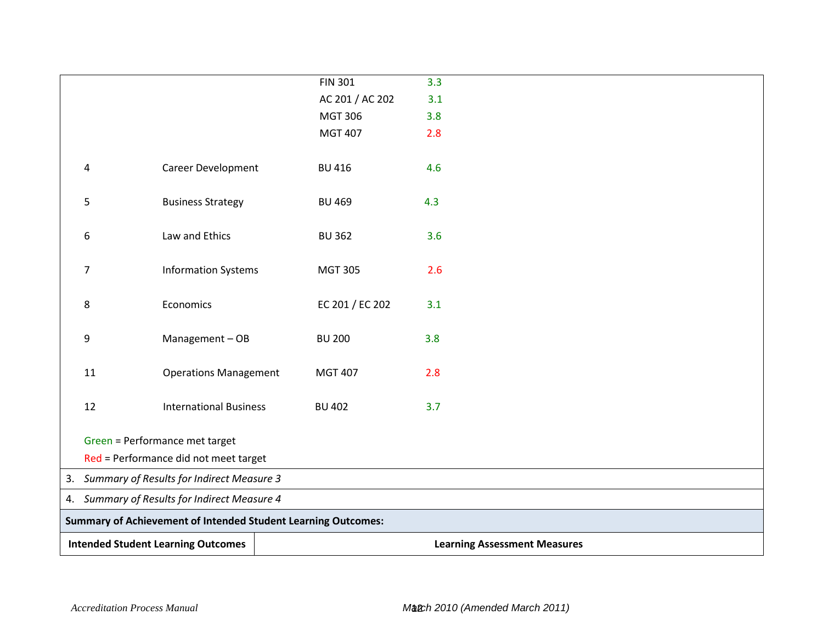|                                                                                       |    |                                                                      | <b>FIN 301</b>  | 3.3                                 |
|---------------------------------------------------------------------------------------|----|----------------------------------------------------------------------|-----------------|-------------------------------------|
|                                                                                       |    |                                                                      | AC 201 / AC 202 | 3.1                                 |
|                                                                                       |    |                                                                      | <b>MGT 306</b>  | 3.8                                 |
|                                                                                       |    |                                                                      | <b>MGT 407</b>  | 2.8                                 |
|                                                                                       |    |                                                                      |                 |                                     |
|                                                                                       | 4  | Career Development                                                   | <b>BU 416</b>   | 4.6                                 |
|                                                                                       |    |                                                                      |                 |                                     |
|                                                                                       | 5  | <b>Business Strategy</b>                                             | <b>BU 469</b>   | 4.3                                 |
|                                                                                       |    |                                                                      |                 |                                     |
|                                                                                       | 6  | Law and Ethics                                                       | <b>BU 362</b>   | 3.6                                 |
|                                                                                       |    |                                                                      |                 |                                     |
|                                                                                       | 7  | <b>Information Systems</b>                                           | <b>MGT 305</b>  | 2.6                                 |
|                                                                                       |    |                                                                      |                 |                                     |
|                                                                                       | 8  | Economics                                                            | EC 201 / EC 202 | 3.1                                 |
|                                                                                       |    |                                                                      |                 |                                     |
|                                                                                       | 9  | Management-OB                                                        | <b>BU 200</b>   | 3.8                                 |
|                                                                                       |    |                                                                      |                 |                                     |
|                                                                                       | 11 | <b>Operations Management</b>                                         | <b>MGT 407</b>  | 2.8                                 |
|                                                                                       |    |                                                                      |                 |                                     |
|                                                                                       | 12 | <b>International Business</b>                                        | <b>BU 402</b>   | 3.7                                 |
|                                                                                       |    |                                                                      |                 |                                     |
|                                                                                       |    | Green = Performance met target                                       |                 |                                     |
|                                                                                       |    |                                                                      |                 |                                     |
| Red = Performance did not meet target<br>3. Summary of Results for Indirect Measure 3 |    |                                                                      |                 |                                     |
|                                                                                       |    |                                                                      |                 |                                     |
|                                                                                       |    | 4. Summary of Results for Indirect Measure 4                         |                 |                                     |
|                                                                                       |    | <b>Summary of Achievement of Intended Student Learning Outcomes:</b> |                 |                                     |
|                                                                                       |    | <b>Intended Student Learning Outcomes</b>                            |                 | <b>Learning Assessment Measures</b> |
|                                                                                       |    |                                                                      |                 |                                     |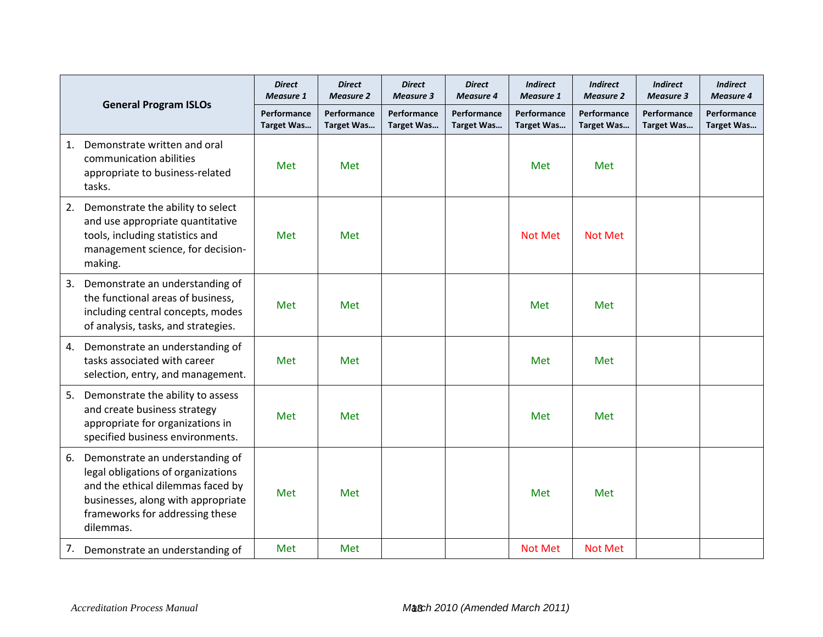|    |                                                                                                                                                                                                  | <b>Direct</b><br><b>Measure 1</b> | <b>Direct</b><br><b>Measure 2</b> | <b>Direct</b><br><b>Measure 3</b> | <b>Direct</b><br><b>Measure 4</b> | <b>Indirect</b><br><b>Measure 1</b> | <b>Indirect</b><br><b>Measure 2</b> | <b>Indirect</b><br><b>Measure 3</b> | <b>Indirect</b><br><b>Measure 4</b> |
|----|--------------------------------------------------------------------------------------------------------------------------------------------------------------------------------------------------|-----------------------------------|-----------------------------------|-----------------------------------|-----------------------------------|-------------------------------------|-------------------------------------|-------------------------------------|-------------------------------------|
|    | <b>General Program ISLOs</b>                                                                                                                                                                     | Performance<br><b>Target Was</b>  | Performance<br><b>Target Was</b>  | Performance<br><b>Target Was</b>  | Performance<br><b>Target Was</b>  | Performance<br><b>Target Was</b>    | Performance<br><b>Target Was</b>    | Performance<br><b>Target Was</b>    | Performance<br>Target Was           |
| 1. | Demonstrate written and oral<br>communication abilities<br>appropriate to business-related<br>tasks.                                                                                             | Met                               | Met                               |                                   |                                   | Met                                 | Met                                 |                                     |                                     |
| 2. | Demonstrate the ability to select<br>and use appropriate quantitative<br>tools, including statistics and<br>management science, for decision-<br>making.                                         | Met                               | Met                               |                                   |                                   | <b>Not Met</b>                      | Not Met                             |                                     |                                     |
| 3. | Demonstrate an understanding of<br>the functional areas of business,<br>including central concepts, modes<br>of analysis, tasks, and strategies.                                                 | Met                               | Met                               |                                   |                                   | Met                                 | Met                                 |                                     |                                     |
| 4. | Demonstrate an understanding of<br>tasks associated with career<br>selection, entry, and management.                                                                                             | Met                               | Met                               |                                   |                                   | Met                                 | Met                                 |                                     |                                     |
| 5. | Demonstrate the ability to assess<br>and create business strategy<br>appropriate for organizations in<br>specified business environments.                                                        | Met                               | Met                               |                                   |                                   | Met                                 | Met                                 |                                     |                                     |
| 6. | Demonstrate an understanding of<br>legal obligations of organizations<br>and the ethical dilemmas faced by<br>businesses, along with appropriate<br>frameworks for addressing these<br>dilemmas. | Met                               | Met                               |                                   |                                   | Met                                 | Met                                 |                                     |                                     |
| 7. | Demonstrate an understanding of                                                                                                                                                                  | Met                               | Met                               |                                   |                                   | <b>Not Met</b>                      | <b>Not Met</b>                      |                                     |                                     |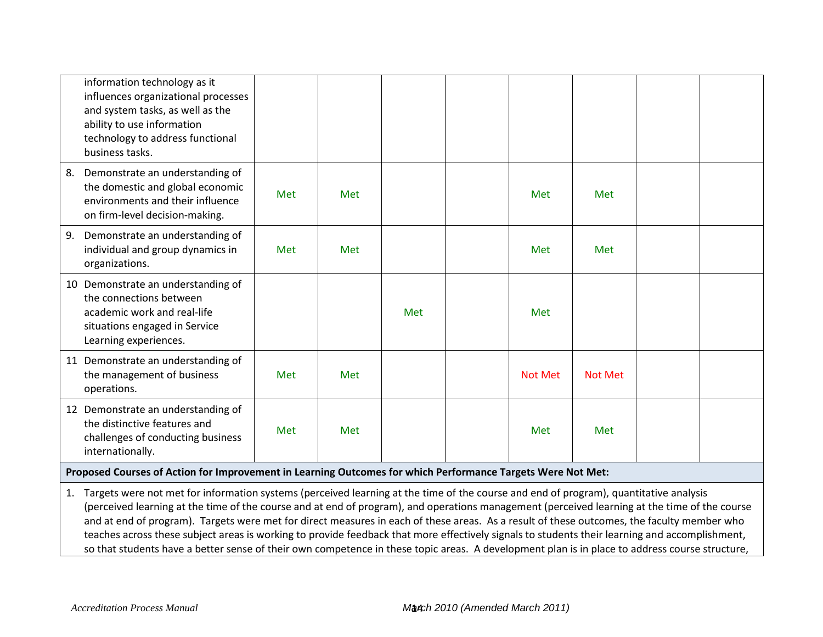| information technology as it<br>influences organizational processes<br>and system tasks, as well as the<br>ability to use information<br>technology to address functional<br>business tasks. |            |     |     |                |                |  |
|----------------------------------------------------------------------------------------------------------------------------------------------------------------------------------------------|------------|-----|-----|----------------|----------------|--|
| Demonstrate an understanding of<br>8.<br>the domestic and global economic<br>environments and their influence<br>on firm-level decision-making.                                              | <b>Met</b> | Met |     | Met            | Met            |  |
| Demonstrate an understanding of<br>9.<br>individual and group dynamics in<br>organizations.                                                                                                  | Met        | Met |     | Met            | Met            |  |
| 10 Demonstrate an understanding of<br>the connections between<br>academic work and real-life<br>situations engaged in Service<br>Learning experiences.                                       |            |     | Met | Met            |                |  |
| 11 Demonstrate an understanding of<br>the management of business<br>operations.                                                                                                              | Met        | Met |     | <b>Not Met</b> | <b>Not Met</b> |  |
| 12 Demonstrate an understanding of<br>the distinctive features and<br>challenges of conducting business<br>internationally.                                                                  | Met        | Met |     | Met            | Met            |  |
| Proposed Courses of Action for Improvement in Learning Outcomes for which Performance Targets Were Not Met:                                                                                  |            |     |     |                |                |  |
| 1. Targets were not met for information systems (perceived learning at the time of the course and end of program), quantitative analysis                                                     |            |     |     |                |                |  |

(perceived learning at the time of the course and at end of program), and operations management (perceived learning at the time of the course and at end of program). Targets were met for direct measures in each of these areas. As a result of these outcomes, the faculty member who teaches across these subject areas is working to provide feedback that more effectively signals to students their learning and accomplishment, so that students have a better sense of their own competence in these topic areas. A development plan is in place to address course structure,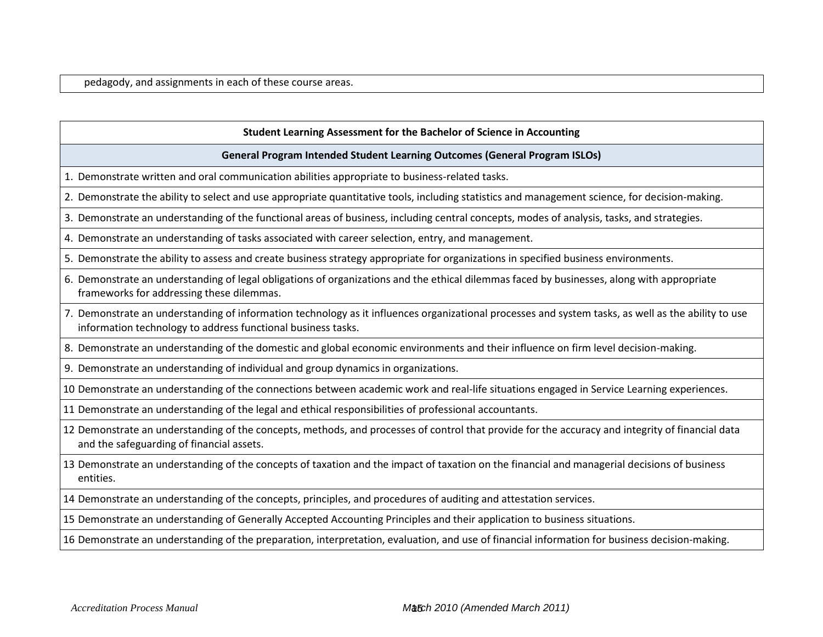pedagody, and assignments in each of these course areas.

#### **Student Learning Assessment for the Bachelor of Science in Accounting**

#### **General Program Intended Student Learning Outcomes (General Program ISLOs)**

- 1. Demonstrate written and oral communication abilities appropriate to business-related tasks.
- 2. Demonstrate the ability to select and use appropriate quantitative tools, including statistics and management science, for decision-making.
- 3. Demonstrate an understanding of the functional areas of business, including central concepts, modes of analysis, tasks, and strategies.
- 4. Demonstrate an understanding of tasks associated with career selection, entry, and management.
- 5. Demonstrate the ability to assess and create business strategy appropriate for organizations in specified business environments.
- 6. Demonstrate an understanding of legal obligations of organizations and the ethical dilemmas faced by businesses, along with appropriate frameworks for addressing these dilemmas.
- 7. Demonstrate an understanding of information technology as it influences organizational processes and system tasks, as well as the ability to use information technology to address functional business tasks.
- 8. Demonstrate an understanding of the domestic and global economic environments and their influence on firm level decision-making.
- 9. Demonstrate an understanding of individual and group dynamics in organizations.
- 10 Demonstrate an understanding of the connections between academic work and real-life situations engaged in Service Learning experiences.
- 11 Demonstrate an understanding of the legal and ethical responsibilities of professional accountants.
- 12 Demonstrate an understanding of the concepts, methods, and processes of control that provide for the accuracy and integrity of financial data and the safeguarding of financial assets.
- 13 Demonstrate an understanding of the concepts of taxation and the impact of taxation on the financial and managerial decisions of business entities.
- 14 Demonstrate an understanding of the concepts, principles, and procedures of auditing and attestation services.
- 15 Demonstrate an understanding of Generally Accepted Accounting Principles and their application to business situations.
- 16 Demonstrate an understanding of the preparation, interpretation, evaluation, and use of financial information for business decision-making.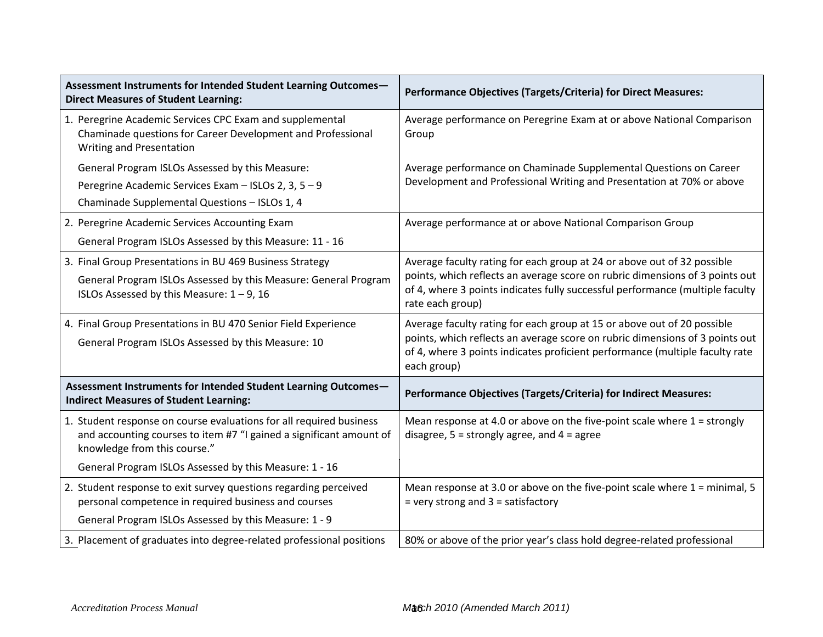| Assessment Instruments for Intended Student Learning Outcomes-<br><b>Direct Measures of Student Learning:</b>                                                              | <b>Performance Objectives (Targets/Criteria) for Direct Measures:</b>                                                                                                                                                                                  |
|----------------------------------------------------------------------------------------------------------------------------------------------------------------------------|--------------------------------------------------------------------------------------------------------------------------------------------------------------------------------------------------------------------------------------------------------|
| 1. Peregrine Academic Services CPC Exam and supplemental<br>Chaminade questions for Career Development and Professional<br><b>Writing and Presentation</b>                 | Average performance on Peregrine Exam at or above National Comparison<br>Group                                                                                                                                                                         |
| General Program ISLOs Assessed by this Measure:                                                                                                                            | Average performance on Chaminade Supplemental Questions on Career                                                                                                                                                                                      |
| Peregrine Academic Services Exam - ISLOs 2, 3, 5 - 9                                                                                                                       | Development and Professional Writing and Presentation at 70% or above                                                                                                                                                                                  |
| Chaminade Supplemental Questions - ISLOs 1, 4                                                                                                                              |                                                                                                                                                                                                                                                        |
| 2. Peregrine Academic Services Accounting Exam                                                                                                                             | Average performance at or above National Comparison Group                                                                                                                                                                                              |
| General Program ISLOs Assessed by this Measure: 11 - 16                                                                                                                    |                                                                                                                                                                                                                                                        |
| 3. Final Group Presentations in BU 469 Business Strategy                                                                                                                   | Average faculty rating for each group at 24 or above out of 32 possible                                                                                                                                                                                |
| General Program ISLOs Assessed by this Measure: General Program<br>ISLOs Assessed by this Measure: $1 - 9$ , 16                                                            | points, which reflects an average score on rubric dimensions of 3 points out<br>of 4, where 3 points indicates fully successful performance (multiple faculty<br>rate each group)                                                                      |
| 4. Final Group Presentations in BU 470 Senior Field Experience<br>General Program ISLOs Assessed by this Measure: 10                                                       | Average faculty rating for each group at 15 or above out of 20 possible<br>points, which reflects an average score on rubric dimensions of 3 points out<br>of 4, where 3 points indicates proficient performance (multiple faculty rate<br>each group) |
| Assessment Instruments for Intended Student Learning Outcomes-<br><b>Indirect Measures of Student Learning:</b>                                                            | Performance Objectives (Targets/Criteria) for Indirect Measures:                                                                                                                                                                                       |
| 1. Student response on course evaluations for all required business<br>and accounting courses to item #7 "I gained a significant amount of<br>knowledge from this course." | Mean response at 4.0 or above on the five-point scale where $1 =$ strongly<br>disagree, $5 =$ strongly agree, and $4 =$ agree                                                                                                                          |
| General Program ISLOs Assessed by this Measure: 1 - 16                                                                                                                     |                                                                                                                                                                                                                                                        |
| 2. Student response to exit survey questions regarding perceived<br>personal competence in required business and courses                                                   | Mean response at 3.0 or above on the five-point scale where $1 =$ minimal, 5<br>$=$ very strong and $3 =$ satisfactory                                                                                                                                 |
| General Program ISLOs Assessed by this Measure: 1 - 9                                                                                                                      |                                                                                                                                                                                                                                                        |
| 3. Placement of graduates into degree-related professional positions                                                                                                       | 80% or above of the prior year's class hold degree-related professional                                                                                                                                                                                |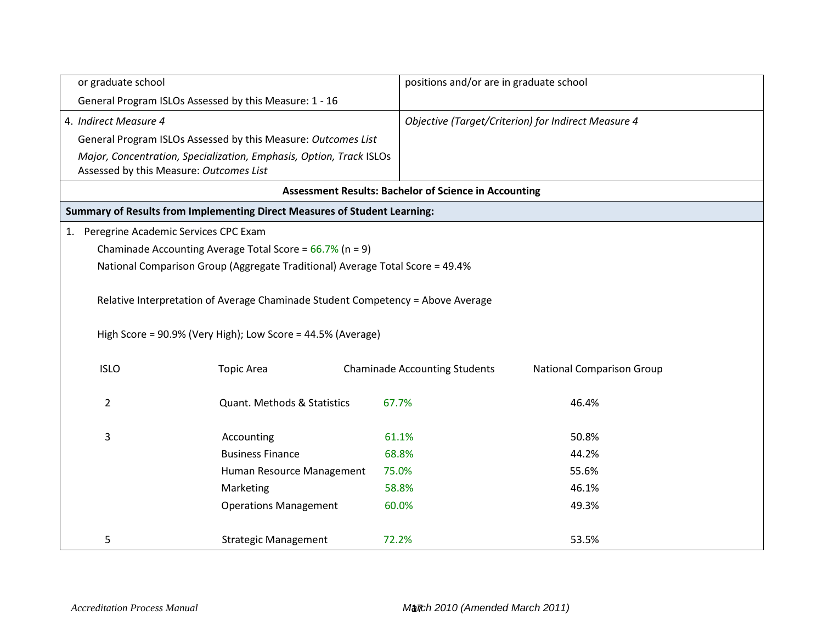| or graduate school                      |                                                                                 | positions and/or are in graduate school                      |                                                     |  |  |  |
|-----------------------------------------|---------------------------------------------------------------------------------|--------------------------------------------------------------|-----------------------------------------------------|--|--|--|
|                                         | General Program ISLOs Assessed by this Measure: 1 - 16                          |                                                              |                                                     |  |  |  |
| 4. Indirect Measure 4                   |                                                                                 |                                                              | Objective (Target/Criterion) for Indirect Measure 4 |  |  |  |
|                                         | General Program ISLOs Assessed by this Measure: Outcomes List                   |                                                              |                                                     |  |  |  |
| Assessed by this Measure: Outcomes List | Major, Concentration, Specialization, Emphasis, Option, Track ISLOs             |                                                              |                                                     |  |  |  |
|                                         |                                                                                 | <b>Assessment Results: Bachelor of Science in Accounting</b> |                                                     |  |  |  |
|                                         | Summary of Results from Implementing Direct Measures of Student Learning:       |                                                              |                                                     |  |  |  |
| 1. Peregrine Academic Services CPC Exam |                                                                                 |                                                              |                                                     |  |  |  |
|                                         | Chaminade Accounting Average Total Score = $66.7\%$ (n = 9)                     |                                                              |                                                     |  |  |  |
|                                         | National Comparison Group (Aggregate Traditional) Average Total Score = 49.4%   |                                                              |                                                     |  |  |  |
|                                         |                                                                                 |                                                              |                                                     |  |  |  |
|                                         | Relative Interpretation of Average Chaminade Student Competency = Above Average |                                                              |                                                     |  |  |  |
|                                         | High Score = 90.9% (Very High); Low Score = 44.5% (Average)                     |                                                              |                                                     |  |  |  |
| <b>ISLO</b>                             | <b>Topic Area</b>                                                               | <b>Chaminade Accounting Students</b>                         | <b>National Comparison Group</b>                    |  |  |  |
| $\overline{2}$                          | <b>Quant. Methods &amp; Statistics</b>                                          | 67.7%                                                        | 46.4%                                               |  |  |  |
| 3                                       | Accounting                                                                      | 61.1%                                                        | 50.8%                                               |  |  |  |
|                                         | <b>Business Finance</b>                                                         | 68.8%                                                        | 44.2%                                               |  |  |  |
|                                         | Human Resource Management                                                       | 75.0%                                                        | 55.6%                                               |  |  |  |
|                                         | Marketing                                                                       | 58.8%                                                        | 46.1%                                               |  |  |  |
|                                         | <b>Operations Management</b>                                                    | 60.0%                                                        | 49.3%                                               |  |  |  |
|                                         |                                                                                 |                                                              |                                                     |  |  |  |
| 5                                       | <b>Strategic Management</b>                                                     | 72.2%                                                        | 53.5%                                               |  |  |  |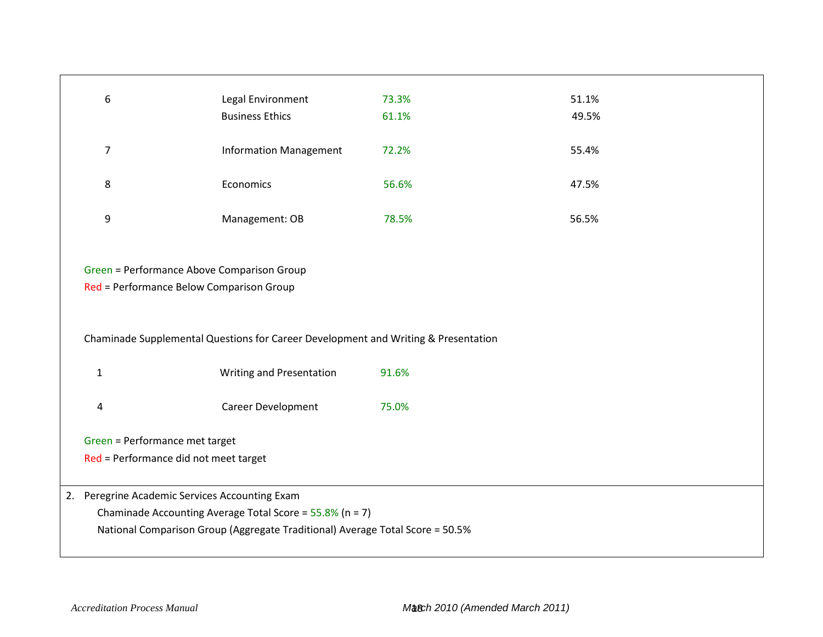| $\boldsymbol{6}$                               | Legal Environment                                                                  | 73.3% | 51.1% |
|------------------------------------------------|------------------------------------------------------------------------------------|-------|-------|
|                                                | <b>Business Ethics</b>                                                             | 61.1% | 49.5% |
|                                                |                                                                                    |       |       |
| $\overline{7}$                                 | <b>Information Management</b>                                                      | 72.2% | 55.4% |
|                                                |                                                                                    |       |       |
| 8                                              | Economics                                                                          | 56.6% | 47.5% |
|                                                |                                                                                    |       |       |
| 9                                              | Management: OB                                                                     | 78.5% | 56.5% |
|                                                |                                                                                    |       |       |
|                                                |                                                                                    |       |       |
| Green = Performance Above Comparison Group     |                                                                                    |       |       |
|                                                |                                                                                    |       |       |
| Red = Performance Below Comparison Group       |                                                                                    |       |       |
|                                                |                                                                                    |       |       |
|                                                |                                                                                    |       |       |
|                                                | Chaminade Supplemental Questions for Career Development and Writing & Presentation |       |       |
|                                                |                                                                                    |       |       |
| $\mathbf{1}$                                   | Writing and Presentation                                                           | 91.6% |       |
|                                                |                                                                                    |       |       |
| 4                                              | Career Development                                                                 | 75.0% |       |
|                                                |                                                                                    |       |       |
| Green = Performance met target                 |                                                                                    |       |       |
| Red = Performance did not meet target          |                                                                                    |       |       |
|                                                |                                                                                    |       |       |
|                                                |                                                                                    |       |       |
| 2. Peregrine Academic Services Accounting Exam |                                                                                    |       |       |
|                                                | Chaminade Accounting Average Total Score = $55.8\%$ (n = 7)                        |       |       |
|                                                | National Comparison Group (Aggregate Traditional) Average Total Score = 50.5%      |       |       |
|                                                |                                                                                    |       |       |
|                                                |                                                                                    |       |       |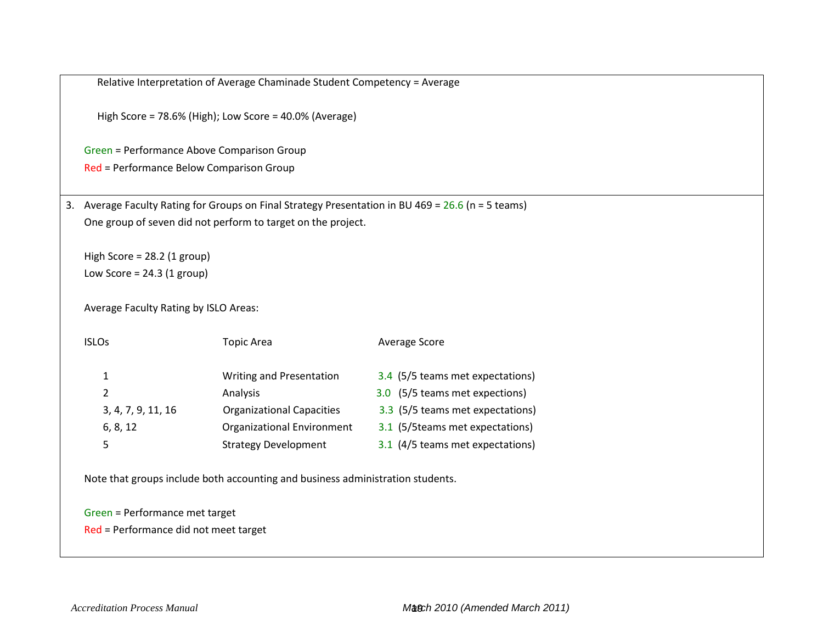|    |                                            | High Score = 78.6% (High); Low Score = 40.0% (Average)       |                                                                                                 |  |  |  |  |  |  |  |  |  |
|----|--------------------------------------------|--------------------------------------------------------------|-------------------------------------------------------------------------------------------------|--|--|--|--|--|--|--|--|--|
|    | Green = Performance Above Comparison Group |                                                              |                                                                                                 |  |  |  |  |  |  |  |  |  |
|    | Red = Performance Below Comparison Group   |                                                              |                                                                                                 |  |  |  |  |  |  |  |  |  |
| 3. |                                            |                                                              | Average Faculty Rating for Groups on Final Strategy Presentation in BU 469 = 26.6 (n = 5 teams) |  |  |  |  |  |  |  |  |  |
|    |                                            | One group of seven did not perform to target on the project. |                                                                                                 |  |  |  |  |  |  |  |  |  |
|    | High Score = $28.2$ (1 group)              |                                                              |                                                                                                 |  |  |  |  |  |  |  |  |  |
|    | Low Score = $24.3$ (1 group)               |                                                              |                                                                                                 |  |  |  |  |  |  |  |  |  |
|    | Average Faculty Rating by ISLO Areas:      |                                                              |                                                                                                 |  |  |  |  |  |  |  |  |  |
|    | <b>ISLOs</b>                               | <b>Topic Area</b>                                            | Average Score                                                                                   |  |  |  |  |  |  |  |  |  |
|    | $\mathbf{1}$                               | Writing and Presentation                                     | 3.4 (5/5 teams met expectations)                                                                |  |  |  |  |  |  |  |  |  |
|    | $\overline{2}$                             | Analysis                                                     | 3.0 (5/5 teams met expections)                                                                  |  |  |  |  |  |  |  |  |  |
|    | 3, 4, 7, 9, 11, 16                         | <b>Organizational Capacities</b>                             | 3.3 (5/5 teams met expectations)                                                                |  |  |  |  |  |  |  |  |  |
|    | 6, 8, 12                                   | Organizational Environment                                   | 3.1 (5/5 teams met expectations)                                                                |  |  |  |  |  |  |  |  |  |
|    | 5                                          | <b>Strategy Development</b>                                  | 3.1 (4/5 teams met expectations)                                                                |  |  |  |  |  |  |  |  |  |

Green = Performance met target Red = Performance did not meet target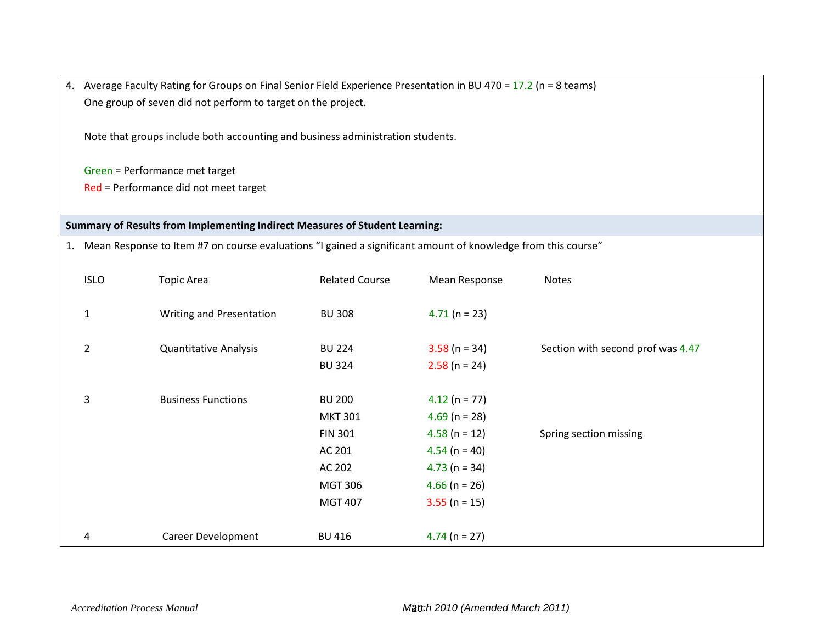4. Average Faculty Rating for Groups on Final Senior Field Experience Presentation in BU 470 = 17.2 (n = 8 teams) One group of seven did not perform to target on the project.

Note that groups include both accounting and business administration students.

Green = Performance met target

Red = Performance did not meet target

## **Summary of Results from Implementing Indirect Measures of Student Learning:**

1. Mean Response to Item #7 on course evaluations "I gained a significant amount of knowledge from this course"

| <b>ISLO</b>    | <b>Topic Area</b>            | <b>Related Course</b>                             | Mean Response                                         | Notes                             |
|----------------|------------------------------|---------------------------------------------------|-------------------------------------------------------|-----------------------------------|
| $\mathbf 1$    | Writing and Presentation     | <b>BU 308</b>                                     | $4.71$ (n = 23)                                       |                                   |
| $\overline{2}$ | <b>Quantitative Analysis</b> | <b>BU 224</b><br><b>BU 324</b>                    | $3.58$ (n = 34)<br>$2.58$ (n = 24)                    | Section with second prof was 4.47 |
| 3              | <b>Business Functions</b>    | <b>BU 200</b><br><b>MKT 301</b><br><b>FIN 301</b> | $4.12$ (n = 77)<br>$4.69$ (n = 28)<br>$4.58$ (n = 12) | Spring section missing            |
|                |                              | AC 201<br>AC 202<br><b>MGT 306</b>                | $4.54$ (n = 40)<br>$4.73$ (n = 34)<br>$4.66$ (n = 26) |                                   |
| 4              | Career Development           | <b>MGT 407</b><br><b>BU 416</b>                   | $3.55$ (n = 15)<br>$4.74$ (n = 27)                    |                                   |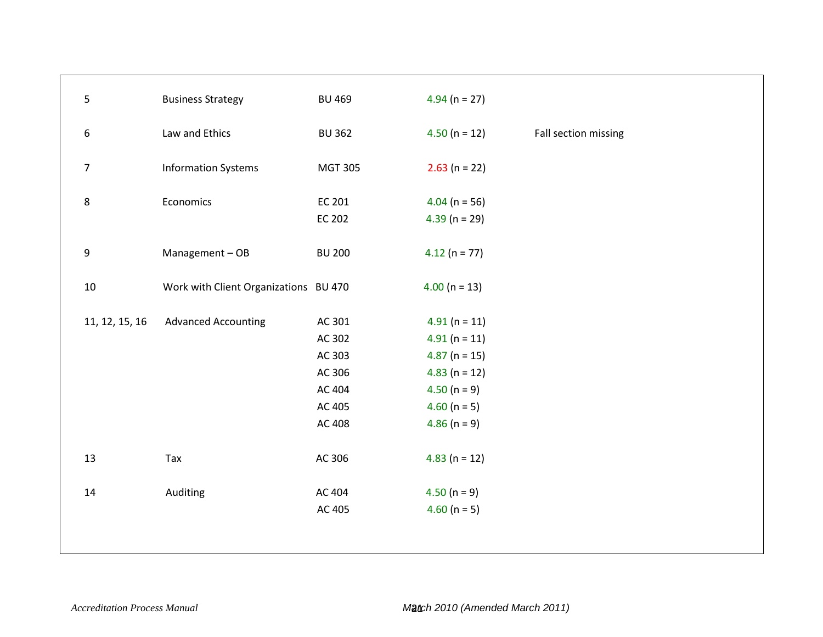| $\overline{5}$             | <b>Business Strategy</b>                      | <b>BU 469</b>                                                                          | $4.94$ (n = 27)                                                                                                                                                  |                      |
|----------------------------|-----------------------------------------------|----------------------------------------------------------------------------------------|------------------------------------------------------------------------------------------------------------------------------------------------------------------|----------------------|
| 6                          | Law and Ethics                                | <b>BU 362</b>                                                                          | $4.50(n = 12)$                                                                                                                                                   | Fall section missing |
| $\overline{7}$             | <b>Information Systems</b>                    | <b>MGT 305</b>                                                                         | $2.63$ (n = 22)                                                                                                                                                  |                      |
| $\bf 8$                    | Economics                                     | EC 201<br>EC 202                                                                       | $4.04$ (n = 56)<br>$4.39$ (n = 29)                                                                                                                               |                      |
| $\boldsymbol{9}$           | Management-OB                                 | <b>BU 200</b>                                                                          | $4.12(n = 77)$                                                                                                                                                   |                      |
| 10                         | Work with Client Organizations BU 470         |                                                                                        | $4.00$ (n = 13)                                                                                                                                                  |                      |
| 11, 12, 15, 16<br>13<br>14 | <b>Advanced Accounting</b><br>Tax<br>Auditing | AC 301<br>AC 302<br>AC 303<br>AC 306<br>AC 404<br>AC 405<br>AC 408<br>AC 306<br>AC 404 | $4.91(n = 11)$<br>$4.91(n = 11)$<br>$4.87$ (n = 15)<br>$4.83$ (n = 12)<br>$4.50 (n = 9)$<br>4.60 ( $n = 5$ )<br>$4.86$ (n = 9)<br>$4.83$ (n = 12)<br>$4.50(n=9)$ |                      |
|                            |                                               | AC 405                                                                                 | 4.60 ( $n = 5$ )                                                                                                                                                 |                      |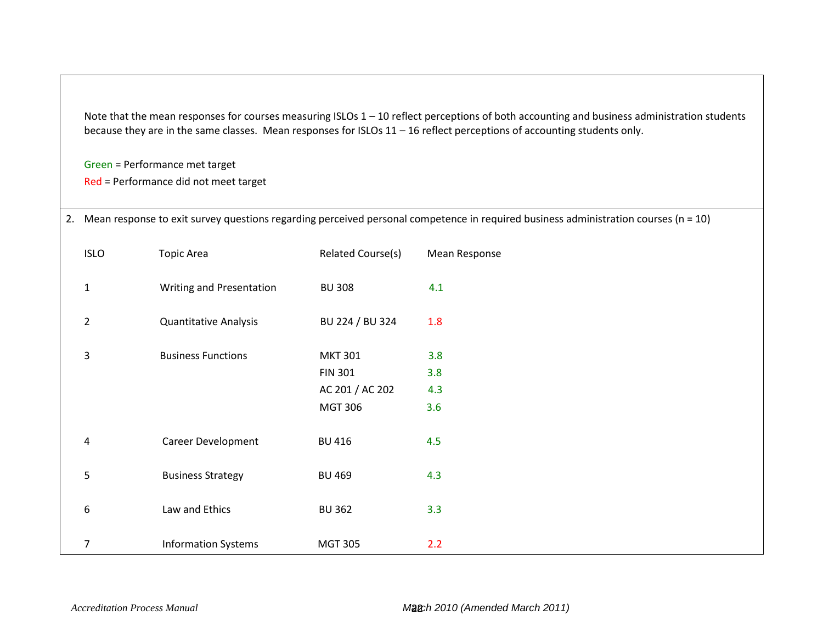Note that the mean responses for courses measuring ISLOs 1 – 10 reflect perceptions of both accounting and business administration students because they are in the same classes. Mean responses for ISLOs 11 – 16 reflect perceptions of accounting students only.

Green = Performance met target

Red = Performance did not meet target

| 2. Mean response to exit survey questions regarding perceived personal competence in required business administration courses (n = 10) |  |
|----------------------------------------------------------------------------------------------------------------------------------------|--|
|----------------------------------------------------------------------------------------------------------------------------------------|--|

|                         |                            | <b>MGT 306</b> | 3.6 |
|-------------------------|----------------------------|----------------|-----|
| $\overline{\mathbf{4}}$ | Career Development         | <b>BU 416</b>  | 4.5 |
| 5                       | <b>Business Strategy</b>   | <b>BU 469</b>  | 4.3 |
| $\boldsymbol{6}$        | Law and Ethics             | <b>BU 362</b>  | 3.3 |
| $\overline{7}$          | <b>Information Systems</b> | <b>MGT 305</b> | 2.2 |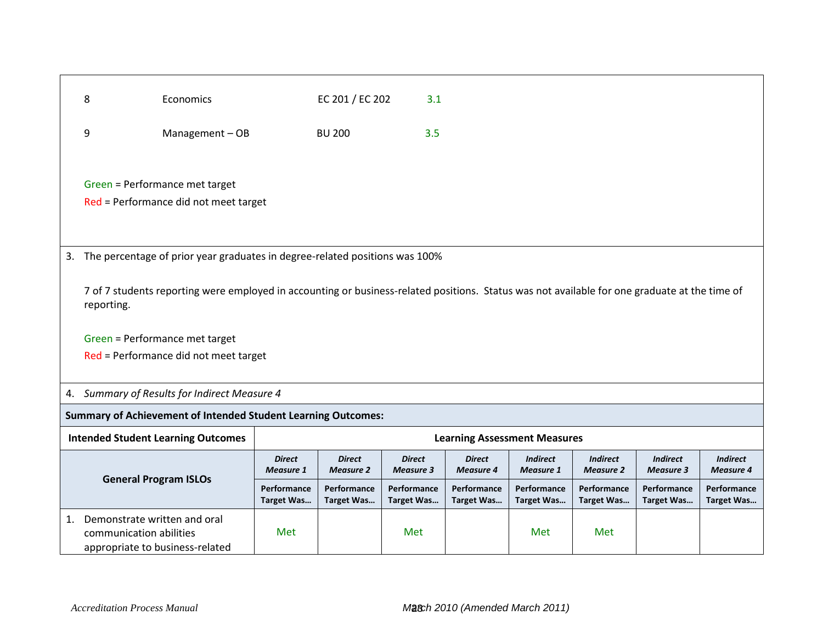|    | 8                                                                                                                                                           | Economics                                                                   |                                   | EC 201 / EC 202                   | 3.1                               |                                     |                                     |                                     |                                     |                                     |
|----|-------------------------------------------------------------------------------------------------------------------------------------------------------------|-----------------------------------------------------------------------------|-----------------------------------|-----------------------------------|-----------------------------------|-------------------------------------|-------------------------------------|-------------------------------------|-------------------------------------|-------------------------------------|
|    |                                                                                                                                                             |                                                                             |                                   |                                   |                                   |                                     |                                     |                                     |                                     |                                     |
|    | 9                                                                                                                                                           | Management-OB                                                               |                                   | <b>BU 200</b>                     | 3.5                               |                                     |                                     |                                     |                                     |                                     |
|    |                                                                                                                                                             | Green = Performance met target<br>Red = Performance did not meet target     |                                   |                                   |                                   |                                     |                                     |                                     |                                     |                                     |
| 3. |                                                                                                                                                             | The percentage of prior year graduates in degree-related positions was 100% |                                   |                                   |                                   |                                     |                                     |                                     |                                     |                                     |
|    |                                                                                                                                                             |                                                                             |                                   |                                   |                                   |                                     |                                     |                                     |                                     |                                     |
|    | 7 of 7 students reporting were employed in accounting or business-related positions. Status was not available for one graduate at the time of<br>reporting. |                                                                             |                                   |                                   |                                   |                                     |                                     |                                     |                                     |                                     |
|    |                                                                                                                                                             | Green = Performance met target                                              |                                   |                                   |                                   |                                     |                                     |                                     |                                     |                                     |
|    |                                                                                                                                                             | Red = Performance did not meet target                                       |                                   |                                   |                                   |                                     |                                     |                                     |                                     |                                     |
|    |                                                                                                                                                             |                                                                             |                                   |                                   |                                   |                                     |                                     |                                     |                                     |                                     |
|    |                                                                                                                                                             | 4. Summary of Results for Indirect Measure 4                                |                                   |                                   |                                   |                                     |                                     |                                     |                                     |                                     |
|    |                                                                                                                                                             | <b>Summary of Achievement of Intended Student Learning Outcomes:</b>        |                                   |                                   |                                   |                                     |                                     |                                     |                                     |                                     |
|    |                                                                                                                                                             | <b>Intended Student Learning Outcomes</b>                                   |                                   |                                   |                                   | <b>Learning Assessment Measures</b> |                                     |                                     |                                     |                                     |
|    |                                                                                                                                                             |                                                                             | <b>Direct</b><br><b>Measure 1</b> | <b>Direct</b><br><b>Measure 2</b> | <b>Direct</b><br><b>Measure 3</b> | <b>Direct</b><br><b>Measure 4</b>   | <b>Indirect</b><br><b>Measure 1</b> | <b>Indirect</b><br><b>Measure 2</b> | <b>Indirect</b><br><b>Measure 3</b> | <b>Indirect</b><br><b>Measure 4</b> |
|    |                                                                                                                                                             | <b>General Program ISLOs</b>                                                | Performance<br><b>Target Was</b>  | Performance<br><b>Target Was</b>  | Performance<br><b>Target Was</b>  | Performance<br><b>Target Was</b>    | Performance<br><b>Target Was</b>    | Performance<br>Target Was           | Performance<br><b>Target Was</b>    | Performance<br><b>Target Was</b>    |
| 1. | Demonstrate written and oral<br>communication abilities                                                                                                     | appropriate to business-related                                             | Met                               |                                   | Met                               |                                     | Met                                 | Met                                 |                                     |                                     |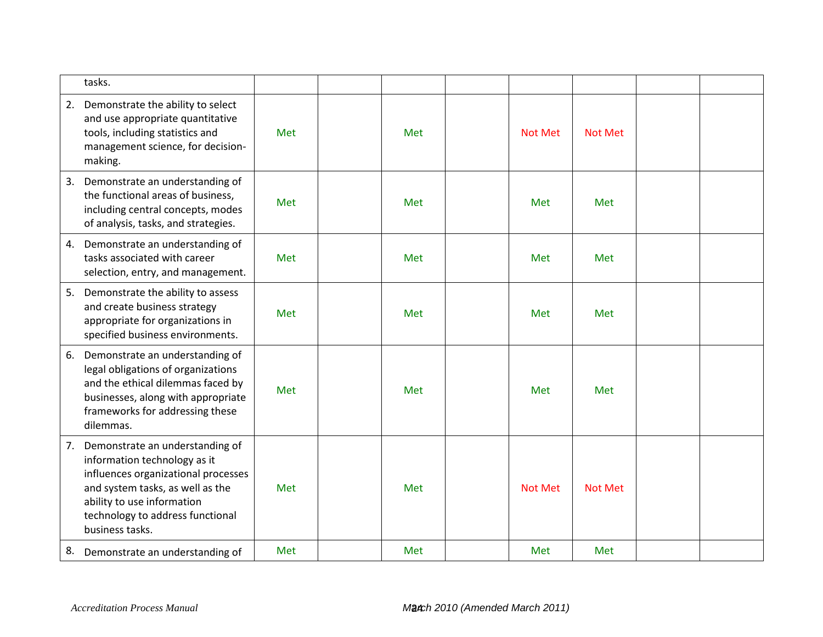| tasks.                                                                                                                                                                                                                                |     |     |                |                |  |
|---------------------------------------------------------------------------------------------------------------------------------------------------------------------------------------------------------------------------------------|-----|-----|----------------|----------------|--|
| Demonstrate the ability to select<br>2.<br>and use appropriate quantitative<br>tools, including statistics and<br>management science, for decision-<br>making.                                                                        | Met | Met | <b>Not Met</b> | <b>Not Met</b> |  |
| 3.<br>Demonstrate an understanding of<br>the functional areas of business,<br>including central concepts, modes<br>of analysis, tasks, and strategies.                                                                                | Met | Met | Met            | Met            |  |
| Demonstrate an understanding of<br>4.<br>tasks associated with career<br>selection, entry, and management.                                                                                                                            | Met | Met | Met            | Met            |  |
| 5.<br>Demonstrate the ability to assess<br>and create business strategy<br>appropriate for organizations in<br>specified business environments.                                                                                       | Met | Met | Met            | Met            |  |
| Demonstrate an understanding of<br>6.<br>legal obligations of organizations<br>and the ethical dilemmas faced by<br>businesses, along with appropriate<br>frameworks for addressing these<br>dilemmas.                                | Met | Met | Met            | Met            |  |
| Demonstrate an understanding of<br>7.<br>information technology as it<br>influences organizational processes<br>and system tasks, as well as the<br>ability to use information<br>technology to address functional<br>business tasks. | Met | Met | <b>Not Met</b> | <b>Not Met</b> |  |
| 8.<br>Demonstrate an understanding of                                                                                                                                                                                                 | Met | Met | Met            | Met            |  |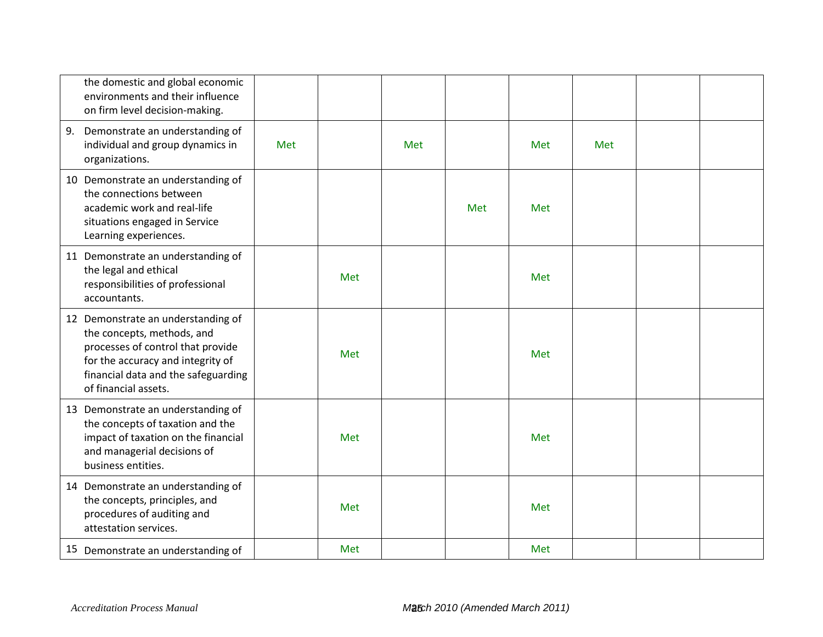| the domestic and global economic<br>environments and their influence<br>on firm level decision-making.                                                                                                    |     |     |     |     |     |     |  |
|-----------------------------------------------------------------------------------------------------------------------------------------------------------------------------------------------------------|-----|-----|-----|-----|-----|-----|--|
| Demonstrate an understanding of<br>9.<br>individual and group dynamics in<br>organizations.                                                                                                               | Met |     | Met |     | Met | Met |  |
| 10 Demonstrate an understanding of<br>the connections between<br>academic work and real-life<br>situations engaged in Service<br>Learning experiences.                                                    |     |     |     | Met | Met |     |  |
| 11 Demonstrate an understanding of<br>the legal and ethical<br>responsibilities of professional<br>accountants.                                                                                           |     | Met |     |     | Met |     |  |
| 12 Demonstrate an understanding of<br>the concepts, methods, and<br>processes of control that provide<br>for the accuracy and integrity of<br>financial data and the safeguarding<br>of financial assets. |     | Met |     |     | Met |     |  |
| 13 Demonstrate an understanding of<br>the concepts of taxation and the<br>impact of taxation on the financial<br>and managerial decisions of<br>business entities.                                        |     | Met |     |     | Met |     |  |
| 14 Demonstrate an understanding of<br>the concepts, principles, and<br>procedures of auditing and<br>attestation services.                                                                                |     | Met |     |     | Met |     |  |
| 15 Demonstrate an understanding of                                                                                                                                                                        |     | Met |     |     | Met |     |  |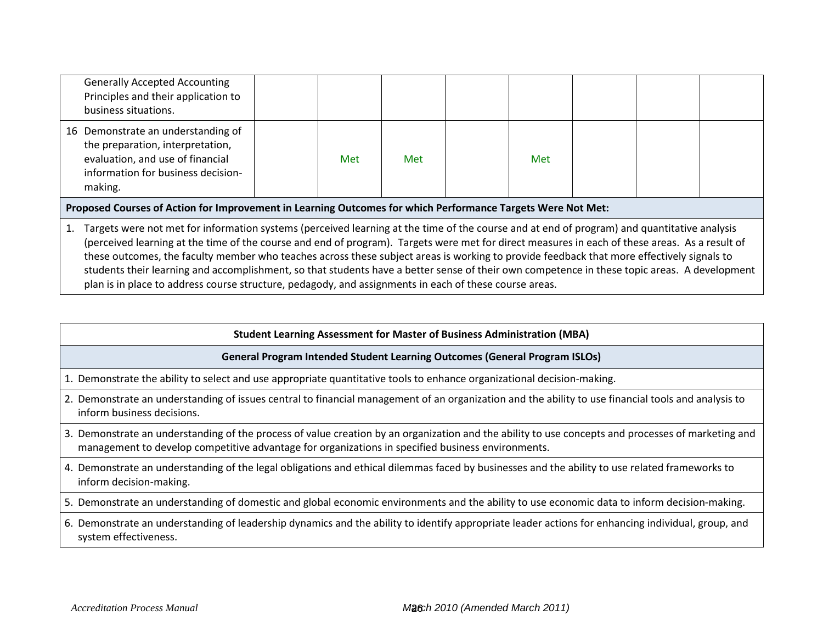| <b>Generally Accepted Accounting</b><br>Principles and their application to<br>business situations.                                                                                                                                                                                                                                                                                                                                                                                                                                                                                        |  |     |     |  |     |  |  |  |  |
|--------------------------------------------------------------------------------------------------------------------------------------------------------------------------------------------------------------------------------------------------------------------------------------------------------------------------------------------------------------------------------------------------------------------------------------------------------------------------------------------------------------------------------------------------------------------------------------------|--|-----|-----|--|-----|--|--|--|--|
| 16 Demonstrate an understanding of<br>the preparation, interpretation,<br>evaluation, and use of financial<br>information for business decision-<br>making.                                                                                                                                                                                                                                                                                                                                                                                                                                |  | Met | Met |  | Met |  |  |  |  |
| Proposed Courses of Action for Improvement in Learning Outcomes for which Performance Targets Were Not Met:                                                                                                                                                                                                                                                                                                                                                                                                                                                                                |  |     |     |  |     |  |  |  |  |
| Targets were not met for information systems (perceived learning at the time of the course and at end of program) and quantitative analysis<br>(perceived learning at the time of the course and end of program). Targets were met for direct measures in each of these areas. As a result of<br>these outcomes, the faculty member who teaches across these subject areas is working to provide feedback that more effectively signals to<br>students their learning and accomplishment, so that students have a better sense of their own competence in these topic areas. A development |  |     |     |  |     |  |  |  |  |

plan is in place to address course structure, pedagody, and assignments in each of these course areas.

#### **Student Learning Assessment for Master of Business Administration (MBA)**

#### **General Program Intended Student Learning Outcomes (General Program ISLOs)**

1. Demonstrate the ability to select and use appropriate quantitative tools to enhance organizational decision-making.

- 2. Demonstrate an understanding of issues central to financial management of an organization and the ability to use financial tools and analysis to inform business decisions.
- 3. Demonstrate an understanding of the process of value creation by an organization and the ability to use concepts and processes of marketing and management to develop competitive advantage for organizations in specified business environments.
- 4. Demonstrate an understanding of the legal obligations and ethical dilemmas faced by businesses and the ability to use related frameworks to inform decision-making.
- 5. Demonstrate an understanding of domestic and global economic environments and the ability to use economic data to inform decision-making.

6. Demonstrate an understanding of leadership dynamics and the ability to identify appropriate leader actions for enhancing individual, group, and system effectiveness.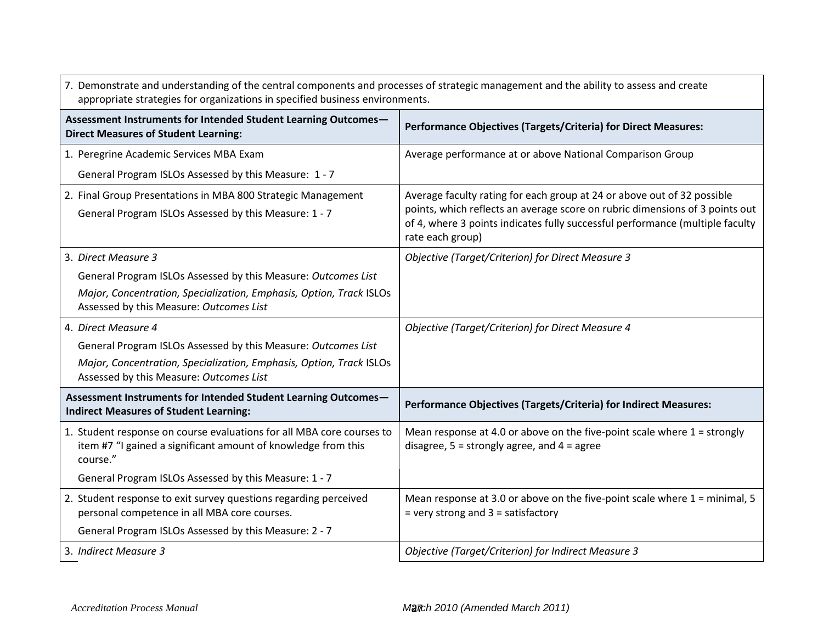| 7. Demonstrate and understanding of the central components and processes of strategic management and the ability to assess and create<br>appropriate strategies for organizations in specified business environments. |                                                                                                                                                         |  |  |  |  |  |  |
|-----------------------------------------------------------------------------------------------------------------------------------------------------------------------------------------------------------------------|---------------------------------------------------------------------------------------------------------------------------------------------------------|--|--|--|--|--|--|
| Assessment Instruments for Intended Student Learning Outcomes-<br><b>Direct Measures of Student Learning:</b>                                                                                                         | Performance Objectives (Targets/Criteria) for Direct Measures:                                                                                          |  |  |  |  |  |  |
| 1. Peregrine Academic Services MBA Exam                                                                                                                                                                               | Average performance at or above National Comparison Group                                                                                               |  |  |  |  |  |  |
| General Program ISLOs Assessed by this Measure: 1 - 7                                                                                                                                                                 |                                                                                                                                                         |  |  |  |  |  |  |
| 2. Final Group Presentations in MBA 800 Strategic Management                                                                                                                                                          | Average faculty rating for each group at 24 or above out of 32 possible<br>points, which reflects an average score on rubric dimensions of 3 points out |  |  |  |  |  |  |
| General Program ISLOs Assessed by this Measure: 1 - 7                                                                                                                                                                 | of 4, where 3 points indicates fully successful performance (multiple faculty<br>rate each group)                                                       |  |  |  |  |  |  |
| 3. Direct Measure 3                                                                                                                                                                                                   | <b>Objective (Target/Criterion) for Direct Measure 3</b>                                                                                                |  |  |  |  |  |  |
| General Program ISLOs Assessed by this Measure: Outcomes List                                                                                                                                                         |                                                                                                                                                         |  |  |  |  |  |  |
| Major, Concentration, Specialization, Emphasis, Option, Track ISLOs<br>Assessed by this Measure: Outcomes List                                                                                                        |                                                                                                                                                         |  |  |  |  |  |  |
| 4. Direct Measure 4                                                                                                                                                                                                   | Objective (Target/Criterion) for Direct Measure 4                                                                                                       |  |  |  |  |  |  |
| General Program ISLOs Assessed by this Measure: Outcomes List                                                                                                                                                         |                                                                                                                                                         |  |  |  |  |  |  |
| Major, Concentration, Specialization, Emphasis, Option, Track ISLOs<br>Assessed by this Measure: Outcomes List                                                                                                        |                                                                                                                                                         |  |  |  |  |  |  |
| Assessment Instruments for Intended Student Learning Outcomes-<br><b>Indirect Measures of Student Learning:</b>                                                                                                       | Performance Objectives (Targets/Criteria) for Indirect Measures:                                                                                        |  |  |  |  |  |  |
| 1. Student response on course evaluations for all MBA core courses to<br>item #7 "I gained a significant amount of knowledge from this<br>course."                                                                    | Mean response at 4.0 or above on the five-point scale where $1 =$ strongly<br>disagree, $5 =$ strongly agree, and $4 =$ agree                           |  |  |  |  |  |  |
| General Program ISLOs Assessed by this Measure: 1 - 7                                                                                                                                                                 |                                                                                                                                                         |  |  |  |  |  |  |
| 2. Student response to exit survey questions regarding perceived<br>personal competence in all MBA core courses.                                                                                                      | Mean response at 3.0 or above on the five-point scale where $1 =$ minimal, 5<br>$=$ very strong and $3 =$ satisfactory                                  |  |  |  |  |  |  |
| General Program ISLOs Assessed by this Measure: 2 - 7                                                                                                                                                                 |                                                                                                                                                         |  |  |  |  |  |  |
| 3. Indirect Measure 3                                                                                                                                                                                                 | Objective (Target/Criterion) for Indirect Measure 3                                                                                                     |  |  |  |  |  |  |

٦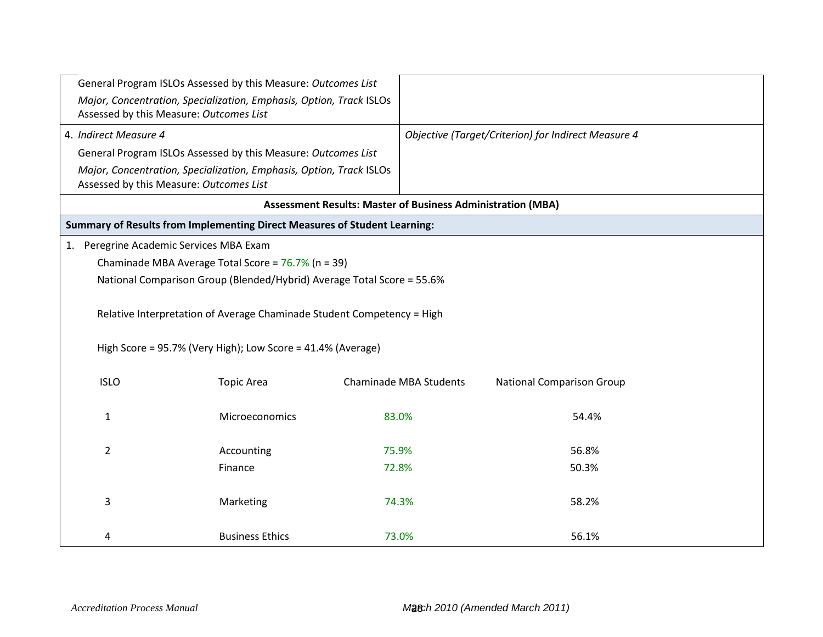| General Program ISLOs Assessed by this Measure: Outcomes List                                                  |                                                                                                                                       |                               |                                                                    |       |  |  |  |  |  |  |
|----------------------------------------------------------------------------------------------------------------|---------------------------------------------------------------------------------------------------------------------------------------|-------------------------------|--------------------------------------------------------------------|-------|--|--|--|--|--|--|
|                                                                                                                | Major, Concentration, Specialization, Emphasis, Option, Track ISLOs<br>Assessed by this Measure: Outcomes List                        |                               |                                                                    |       |  |  |  |  |  |  |
| 4. Indirect Measure 4                                                                                          |                                                                                                                                       |                               | Objective (Target/Criterion) for Indirect Measure 4                |       |  |  |  |  |  |  |
| General Program ISLOs Assessed by this Measure: Outcomes List                                                  |                                                                                                                                       |                               |                                                                    |       |  |  |  |  |  |  |
| Major, Concentration, Specialization, Emphasis, Option, Track ISLOs<br>Assessed by this Measure: Outcomes List |                                                                                                                                       |                               |                                                                    |       |  |  |  |  |  |  |
|                                                                                                                |                                                                                                                                       |                               | <b>Assessment Results: Master of Business Administration (MBA)</b> |       |  |  |  |  |  |  |
|                                                                                                                | Summary of Results from Implementing Direct Measures of Student Learning:                                                             |                               |                                                                    |       |  |  |  |  |  |  |
| 1. Peregrine Academic Services MBA Exam                                                                        |                                                                                                                                       |                               |                                                                    |       |  |  |  |  |  |  |
|                                                                                                                | Chaminade MBA Average Total Score = 76.7% (n = 39)                                                                                    |                               |                                                                    |       |  |  |  |  |  |  |
|                                                                                                                | National Comparison Group (Blended/Hybrid) Average Total Score = 55.6%                                                                |                               |                                                                    |       |  |  |  |  |  |  |
|                                                                                                                | Relative Interpretation of Average Chaminade Student Competency = High<br>High Score = 95.7% (Very High); Low Score = 41.4% (Average) |                               |                                                                    |       |  |  |  |  |  |  |
| <b>ISLO</b>                                                                                                    | <b>Topic Area</b>                                                                                                                     | <b>Chaminade MBA Students</b> | <b>National Comparison Group</b>                                   |       |  |  |  |  |  |  |
| $\mathbf{1}$                                                                                                   | Microeconomics                                                                                                                        | 83.0%                         |                                                                    | 54.4% |  |  |  |  |  |  |
| $\overline{2}$                                                                                                 | Accounting                                                                                                                            | 75.9%                         |                                                                    | 56.8% |  |  |  |  |  |  |
|                                                                                                                | Finance                                                                                                                               | 72.8%                         |                                                                    | 50.3% |  |  |  |  |  |  |
| 3                                                                                                              | Marketing                                                                                                                             | 74.3%                         |                                                                    | 58.2% |  |  |  |  |  |  |
| 4                                                                                                              | <b>Business Ethics</b>                                                                                                                | 73.0%                         |                                                                    | 56.1% |  |  |  |  |  |  |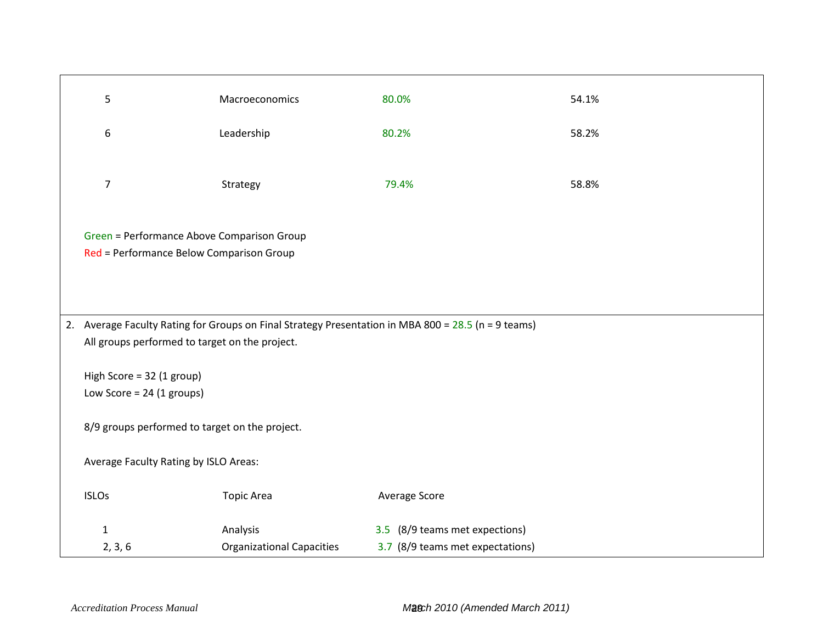| 5                                                                                                                                                     | Macroeconomics                   | 80.0%                            | 54.1% |  |  |  |  |
|-------------------------------------------------------------------------------------------------------------------------------------------------------|----------------------------------|----------------------------------|-------|--|--|--|--|
| $\boldsymbol{6}$                                                                                                                                      | Leadership                       | 80.2%                            | 58.2% |  |  |  |  |
| $\overline{7}$                                                                                                                                        | Strategy                         | 79.4%                            | 58.8% |  |  |  |  |
| Green = Performance Above Comparison Group<br>Red = Performance Below Comparison Group                                                                |                                  |                                  |       |  |  |  |  |
| 2. Average Faculty Rating for Groups on Final Strategy Presentation in MBA 800 = 28.5 (n = 9 teams)<br>All groups performed to target on the project. |                                  |                                  |       |  |  |  |  |
| High Score = 32 (1 group)<br>Low Score = $24$ (1 groups)                                                                                              |                                  |                                  |       |  |  |  |  |
| 8/9 groups performed to target on the project.                                                                                                        |                                  |                                  |       |  |  |  |  |
| Average Faculty Rating by ISLO Areas:                                                                                                                 |                                  |                                  |       |  |  |  |  |
| <b>ISLOs</b>                                                                                                                                          | <b>Topic Area</b>                | Average Score                    |       |  |  |  |  |
| $\mathbf{1}$                                                                                                                                          | Analysis                         | 3.5 (8/9 teams met expections)   |       |  |  |  |  |
| 2, 3, 6                                                                                                                                               | <b>Organizational Capacities</b> | 3.7 (8/9 teams met expectations) |       |  |  |  |  |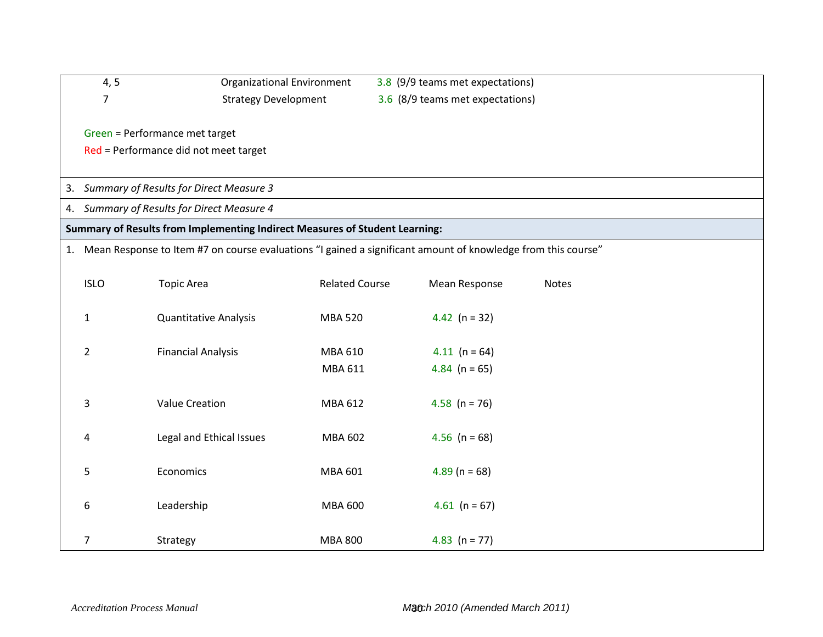| 4, 5                                       | Organizational Environment                                                                                      |                       | 3.8 (9/9 teams met expectations) |              |  |  |  |  |  |  |
|--------------------------------------------|-----------------------------------------------------------------------------------------------------------------|-----------------------|----------------------------------|--------------|--|--|--|--|--|--|
| $\overline{7}$                             | <b>Strategy Development</b>                                                                                     |                       | 3.6 (8/9 teams met expectations) |              |  |  |  |  |  |  |
|                                            |                                                                                                                 |                       |                                  |              |  |  |  |  |  |  |
| Green = Performance met target             |                                                                                                                 |                       |                                  |              |  |  |  |  |  |  |
| Red = Performance did not meet target      |                                                                                                                 |                       |                                  |              |  |  |  |  |  |  |
|                                            |                                                                                                                 |                       |                                  |              |  |  |  |  |  |  |
| 3. Summary of Results for Direct Measure 3 |                                                                                                                 |                       |                                  |              |  |  |  |  |  |  |
|                                            | 4. Summary of Results for Direct Measure 4                                                                      |                       |                                  |              |  |  |  |  |  |  |
|                                            | Summary of Results from Implementing Indirect Measures of Student Learning:                                     |                       |                                  |              |  |  |  |  |  |  |
|                                            | 1. Mean Response to Item #7 on course evaluations "I gained a significant amount of knowledge from this course" |                       |                                  |              |  |  |  |  |  |  |
|                                            |                                                                                                                 |                       |                                  |              |  |  |  |  |  |  |
| <b>ISLO</b>                                | <b>Topic Area</b>                                                                                               | <b>Related Course</b> | Mean Response                    | <b>Notes</b> |  |  |  |  |  |  |
|                                            |                                                                                                                 |                       |                                  |              |  |  |  |  |  |  |
| $\mathbf{1}$                               | <b>Quantitative Analysis</b>                                                                                    | <b>MBA 520</b>        | 4.42 $(n = 32)$                  |              |  |  |  |  |  |  |
|                                            |                                                                                                                 |                       |                                  |              |  |  |  |  |  |  |
| $\overline{2}$                             | <b>Financial Analysis</b>                                                                                       | MBA 610               | 4.11 ( $n = 64$ )                |              |  |  |  |  |  |  |
|                                            |                                                                                                                 | MBA 611               | 4.84 ( $n = 65$ )                |              |  |  |  |  |  |  |
|                                            |                                                                                                                 |                       |                                  |              |  |  |  |  |  |  |
| 3                                          | <b>Value Creation</b>                                                                                           | MBA 612               | 4.58 ( $n = 76$ )                |              |  |  |  |  |  |  |
|                                            |                                                                                                                 |                       |                                  |              |  |  |  |  |  |  |
| 4                                          | Legal and Ethical Issues                                                                                        | <b>MBA 602</b>        | 4.56 ( $n = 68$ )                |              |  |  |  |  |  |  |
| 5                                          | Economics                                                                                                       | MBA 601               | $4.89$ (n = 68)                  |              |  |  |  |  |  |  |
|                                            |                                                                                                                 |                       |                                  |              |  |  |  |  |  |  |
| 6                                          | Leadership                                                                                                      | <b>MBA 600</b>        | 4.61 ( $n = 67$ )                |              |  |  |  |  |  |  |
|                                            |                                                                                                                 |                       |                                  |              |  |  |  |  |  |  |
| $\overline{7}$                             | Strategy                                                                                                        | <b>MBA 800</b>        | 4.83 $(n = 77)$                  |              |  |  |  |  |  |  |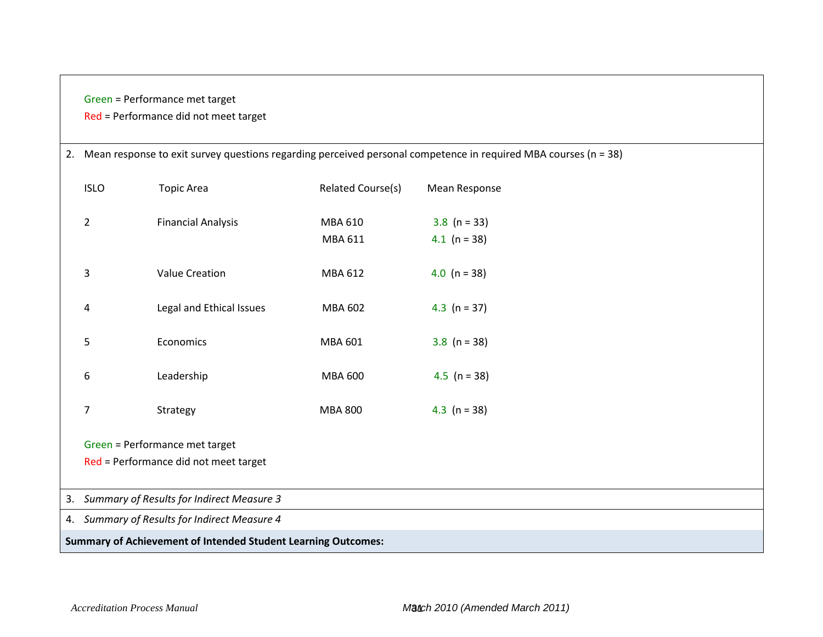## Green = Performance met target

## Red = Performance did not meet target

| 2. Mean response to exit survey questions regarding perceived personal competence in required MBA courses (n = 38) |                                                                      |                   |                  |  |  |  |  |  |
|--------------------------------------------------------------------------------------------------------------------|----------------------------------------------------------------------|-------------------|------------------|--|--|--|--|--|
| <b>ISLO</b>                                                                                                        | <b>Topic Area</b>                                                    | Related Course(s) | Mean Response    |  |  |  |  |  |
| $\overline{2}$                                                                                                     | <b>Financial Analysis</b>                                            | MBA 610           | 3.8 ( $n = 33$ ) |  |  |  |  |  |
|                                                                                                                    |                                                                      | MBA 611           | 4.1 ( $n = 38$ ) |  |  |  |  |  |
| 3                                                                                                                  | <b>Value Creation</b>                                                | MBA 612           | 4.0 ( $n = 38$ ) |  |  |  |  |  |
| 4                                                                                                                  | Legal and Ethical Issues                                             | <b>MBA 602</b>    | 4.3 $(n = 37)$   |  |  |  |  |  |
| 5                                                                                                                  | Economics                                                            | MBA 601           | 3.8 ( $n = 38$ ) |  |  |  |  |  |
| 6                                                                                                                  | Leadership                                                           | <b>MBA 600</b>    | 4.5 ( $n = 38$ ) |  |  |  |  |  |
| 7                                                                                                                  | Strategy                                                             | <b>MBA 800</b>    | 4.3 ( $n = 38$ ) |  |  |  |  |  |
|                                                                                                                    | Green = Performance met target                                       |                   |                  |  |  |  |  |  |
|                                                                                                                    | Red = Performance did not meet target                                |                   |                  |  |  |  |  |  |
|                                                                                                                    | 3. Summary of Results for Indirect Measure 3                         |                   |                  |  |  |  |  |  |
|                                                                                                                    | 4. Summary of Results for Indirect Measure 4                         |                   |                  |  |  |  |  |  |
|                                                                                                                    | <b>Summary of Achievement of Intended Student Learning Outcomes:</b> |                   |                  |  |  |  |  |  |
|                                                                                                                    |                                                                      |                   |                  |  |  |  |  |  |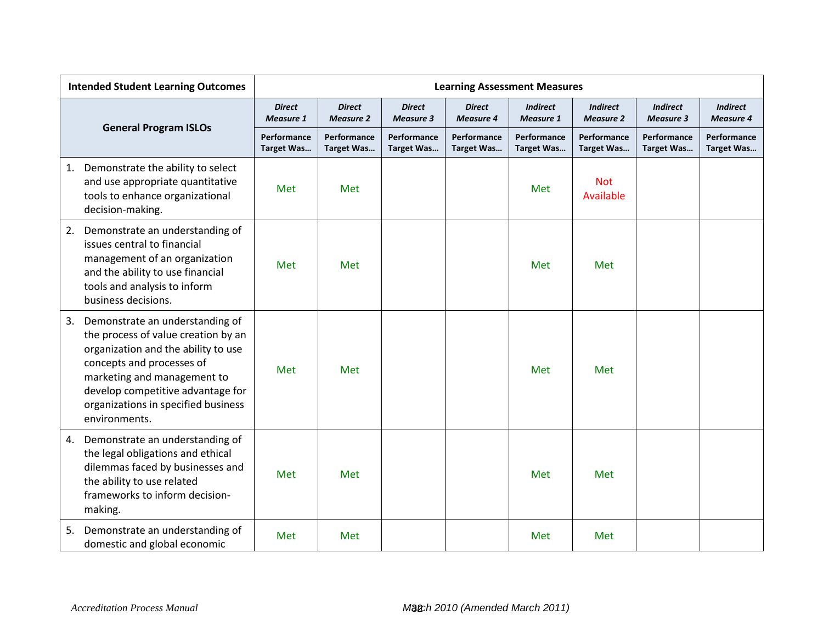| <b>Intended Student Learning Outcomes</b>                                                                                                                                                                                                                                    | <b>Learning Assessment Measures</b> |                                   |                                   |                                   |                                     |                                     |                                     |                                     |
|------------------------------------------------------------------------------------------------------------------------------------------------------------------------------------------------------------------------------------------------------------------------------|-------------------------------------|-----------------------------------|-----------------------------------|-----------------------------------|-------------------------------------|-------------------------------------|-------------------------------------|-------------------------------------|
|                                                                                                                                                                                                                                                                              | <b>Direct</b><br><b>Measure 1</b>   | <b>Direct</b><br><b>Measure 2</b> | <b>Direct</b><br><b>Measure 3</b> | <b>Direct</b><br><b>Measure 4</b> | <b>Indirect</b><br><b>Measure 1</b> | <b>Indirect</b><br><b>Measure 2</b> | <b>Indirect</b><br><b>Measure 3</b> | <b>Indirect</b><br><b>Measure 4</b> |
| <b>General Program ISLOs</b>                                                                                                                                                                                                                                                 | Performance<br><b>Target Was</b>    | Performance<br>Target Was         | Performance<br><b>Target Was</b>  | Performance<br><b>Target Was</b>  | Performance<br><b>Target Was</b>    | Performance<br><b>Target Was</b>    | Performance<br><b>Target Was</b>    | Performance<br><b>Target Was</b>    |
| Demonstrate the ability to select<br>1.<br>and use appropriate quantitative<br>tools to enhance organizational<br>decision-making.                                                                                                                                           | Met                                 | Met                               |                                   |                                   | Met                                 | <b>Not</b><br>Available             |                                     |                                     |
| 2.<br>Demonstrate an understanding of<br>issues central to financial<br>management of an organization<br>and the ability to use financial<br>tools and analysis to inform<br>business decisions.                                                                             | Met                                 | Met                               |                                   |                                   | Met                                 | Met                                 |                                     |                                     |
| 3.<br>Demonstrate an understanding of<br>the process of value creation by an<br>organization and the ability to use<br>concepts and processes of<br>marketing and management to<br>develop competitive advantage for<br>organizations in specified business<br>environments. | Met                                 | Met                               |                                   |                                   | Met                                 | Met                                 |                                     |                                     |
| Demonstrate an understanding of<br>4.<br>the legal obligations and ethical<br>dilemmas faced by businesses and<br>the ability to use related<br>frameworks to inform decision-<br>making.                                                                                    | Met                                 | <b>Met</b>                        |                                   |                                   | Met                                 | Met                                 |                                     |                                     |
| Demonstrate an understanding of<br>5.<br>domestic and global economic                                                                                                                                                                                                        | Met                                 | Met                               |                                   |                                   | Met                                 | Met                                 |                                     |                                     |